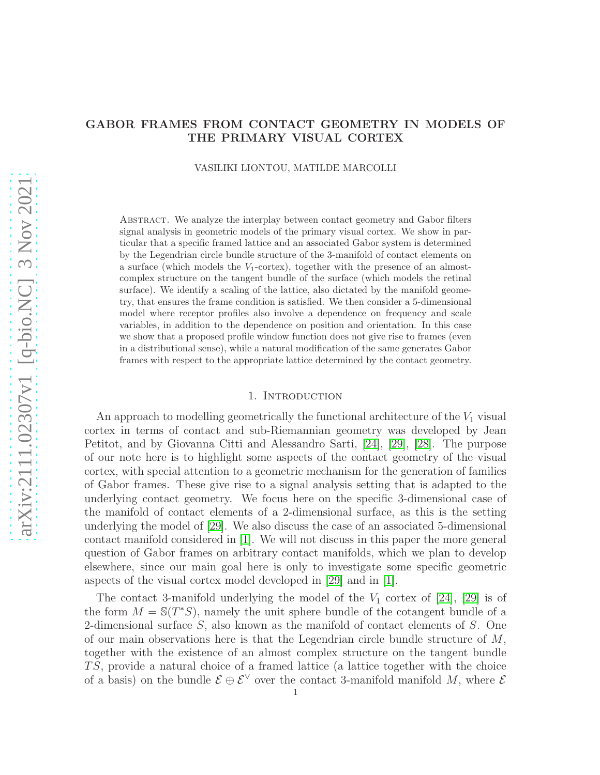# GABOR FRAMES FROM CONTACT GEOMETRY IN MODELS OF THE PRIMARY VISUAL CORTEX

VASILIKI LIONTOU, MATILDE MARCOLLI

Abstract. We analyze the interplay between contact geometry and Gabor filters signal analysis in geometric models of the primary visual cortex. We show in particular that a specific framed lattice and an associated Gabor system is determined by the Legendrian circle bundle structure of the 3-manifold of contact elements on a surface (which models the  $V_1$ -cortex), together with the presence of an almostcomplex structure on the tangent bundle of the surface (which models the retinal surface). We identify a scaling of the lattice, also dictated by the manifold geometry, that ensures the frame condition is satisfied. We then consider a 5-dimensional model where receptor profiles also involve a dependence on frequency and scale variables, in addition to the dependence on position and orientation. In this case we show that a proposed profile window function does not give rise to frames (even in a distributional sense), while a natural modification of the same generates Gabor frames with respect to the appropriate lattice determined by the contact geometry.

## 1. INTRODUCTION

An approach to modelling geometrically the functional architecture of the  $V_1$  visual cortex in terms of contact and sub-Riemannian geometry was developed by Jean Petitot, and by Giovanna Citti and Alessandro Sarti, [\[24\]](#page-27-0), [\[29\]](#page-27-1), [\[28\]](#page-27-2). The purpose of our note here is to highlight some aspects of the contact geometry of the visual cortex, with special attention to a geometric mechanism for the generation of families of Gabor frames. These give rise to a signal analysis setting that is adapted to the underlying contact geometry. We focus here on the specific 3-dimensional case of the manifold of contact elements of a 2-dimensional surface, as this is the setting underlying the model of [\[29\]](#page-27-1). We also discuss the case of an associated 5-dimensional contact manifold considered in [\[1\]](#page-26-0). We will not discuss in this paper the more general question of Gabor frames on arbitrary contact manifolds, which we plan to develop elsewhere, since our main goal here is only to investigate some specific geometric aspects of the visual cortex model developed in [\[29\]](#page-27-1) and in [\[1\]](#page-26-0).

The contact 3-manifold underlying the model of the  $V_1$  cortex of [\[24\]](#page-27-0), [\[29\]](#page-27-1) is of the form  $M = \mathbb{S}(T^*S)$ , namely the unit sphere bundle of the cotangent bundle of a 2-dimensional surface S, also known as the manifold of contact elements of S. One of our main observations here is that the Legendrian circle bundle structure of  $M$ , together with the existence of an almost complex structure on the tangent bundle TS, provide a natural choice of a framed lattice (a lattice together with the choice of a basis) on the bundle  $\mathcal{E} \oplus \mathcal{E}^{\vee}$  over the contact 3-manifold manifold M, where  $\mathcal{E}$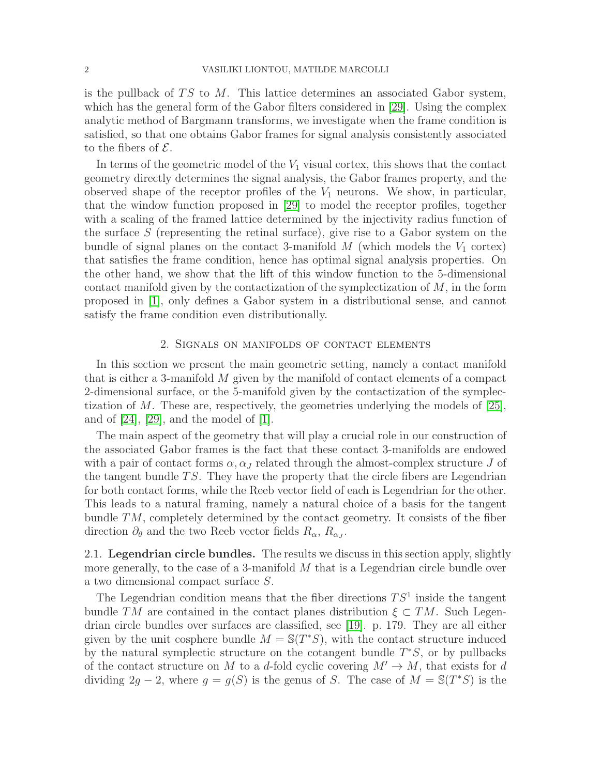is the pullback of  $TS$  to M. This lattice determines an associated Gabor system, which has the general form of the Gabor filters considered in [\[29\]](#page-27-1). Using the complex analytic method of Bargmann transforms, we investigate when the frame condition is satisfied, so that one obtains Gabor frames for signal analysis consistently associated to the fibers of  $\mathcal{E}$ .

In terms of the geometric model of the  $V_1$  visual cortex, this shows that the contact geometry directly determines the signal analysis, the Gabor frames property, and the observed shape of the receptor profiles of the  $V_1$  neurons. We show, in particular, that the window function proposed in [\[29\]](#page-27-1) to model the receptor profiles, together with a scaling of the framed lattice determined by the injectivity radius function of the surface  $S$  (representing the retinal surface), give rise to a Gabor system on the bundle of signal planes on the contact 3-manifold  $M$  (which models the  $V_1$  cortex) that satisfies the frame condition, hence has optimal signal analysis properties. On the other hand, we show that the lift of this window function to the 5-dimensional contact manifold given by the contactization of the symplectization of  $M$ , in the form proposed in [\[1\]](#page-26-0), only defines a Gabor system in a distributional sense, and cannot satisfy the frame condition even distributionally.

# 2. Signals on manifolds of contact elements

In this section we present the main geometric setting, namely a contact manifold that is either a 3-manifold M given by the manifold of contact elements of a compact 2-dimensional surface, or the 5-manifold given by the contactization of the symplectization of M. These are, respectively, the geometries underlying the models of  $[25]$ , and of  $[24]$ ,  $[29]$ , and the model of  $[1]$ .

The main aspect of the geometry that will play a crucial role in our construction of the associated Gabor frames is the fact that these contact 3-manifolds are endowed with a pair of contact forms  $\alpha$ ,  $\alpha$ <sub>J</sub> related through the almost-complex structure J of the tangent bundle  $TS$ . They have the property that the circle fibers are Legendrian for both contact forms, while the Reeb vector field of each is Legendrian for the other. This leads to a natural framing, namely a natural choice of a basis for the tangent bundle  $TM$ , completely determined by the contact geometry. It consists of the fiber direction  $\partial_{\theta}$  and the two Reeb vector fields  $R_{\alpha}$ ,  $R_{\alpha}$ .

2.1. Legendrian circle bundles. The results we discuss in this section apply, slightly more generally, to the case of a 3-manifold M that is a Legendrian circle bundle over a two dimensional compact surface S.

The Legendrian condition means that the fiber directions  $TS<sup>1</sup>$  inside the tangent bundle TM are contained in the contact planes distribution  $\xi \subset TM$ . Such Legendrian circle bundles over surfaces are classified, see [\[19\]](#page-27-4). p. 179. They are all either given by the unit cosphere bundle  $M = \mathbb{S}(T^*S)$ , with the contact structure induced by the natural symplectic structure on the cotangent bundle  $T^*S$ , or by pullbacks of the contact structure on M to a d-fold cyclic covering  $M' \to M$ , that exists for d dividing 2g − 2, where  $g = g(S)$  is the genus of S. The case of  $M = \mathbb{S}(T^*S)$  is the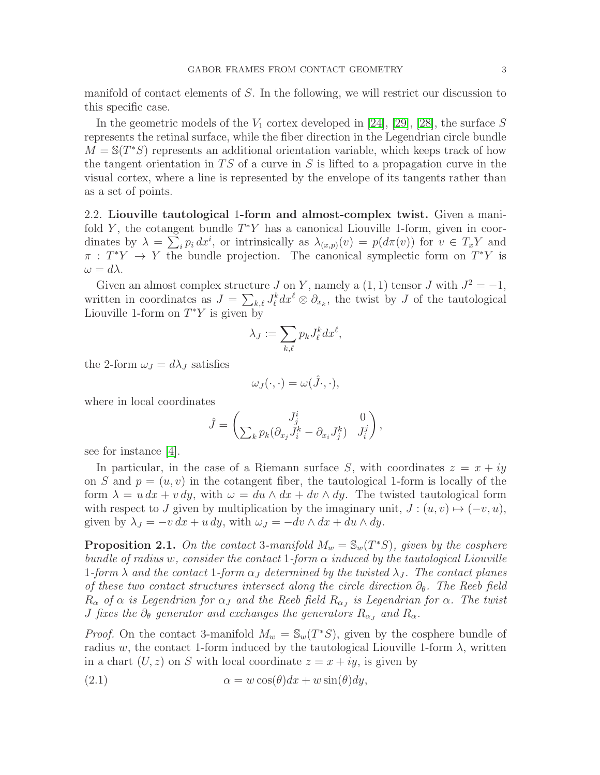manifold of contact elements of S. In the following, we will restrict our discussion to this specific case.

In the geometric models of the  $V_1$  cortex developed in [\[24\]](#page-27-0), [\[29\]](#page-27-1), [\[28\]](#page-27-2), the surface S represents the retinal surface, while the fiber direction in the Legendrian circle bundle  $\overline{M} = \mathbb{S}(T^*S)$  represents an additional orientation variable, which keeps track of how the tangent orientation in  $TS$  of a curve in S is lifted to a propagation curve in the visual cortex, where a line is represented by the envelope of its tangents rather than as a set of points.

<span id="page-2-1"></span>2.2. Liouville tautological 1-form and almost-complex twist. Given a manifold Y, the cotangent bundle  $T^*Y$  has a canonical Liouville 1-form, given in coordinates by  $\lambda = \sum_i p_i dx^i$ , or intrinsically as  $\lambda_{(x,p)}(v) = p(d\pi(v))$  for  $v \in T_xY$  and  $\pi : T^*Y \to Y$  the bundle projection. The canonical symplectic form on  $T^*Y$  is  $\omega = d\lambda.$ 

Given an almost complex structure  $J$  on  $Y$ , namely a  $(1, 1)$  tensor  $J$  with  $J^2 = -1$ , written in coordinates as  $J = \sum_{k,\ell} J_{\ell}^{k} dx^{\ell} \otimes \partial_{x_{k}}$ , the twist by J of the tautological Liouville 1-form on  $T^*Y$  is given by

$$
\lambda_J := \sum_{k,\ell} p_k J_{\ell}^k dx^{\ell},
$$

the 2-form  $\omega_J = d\lambda_J$  satisfies

$$
\omega_J(\cdot,\cdot)=\omega(\hat{J}\cdot,\cdot),
$$

where in local coordinates

$$
\hat{J} = \begin{pmatrix} J^i_j & 0 \\ \sum_k p_k (\partial_{x_j} J^k_i - \partial_{x_i} J^k_j) & J^j_i \end{pmatrix},
$$

see for instance [\[4\]](#page-26-1).

In particular, in the case of a Riemann surface S, with coordinates  $z = x + iy$ on S and  $p = (u, v)$  in the cotangent fiber, the tautological 1-form is locally of the form  $\lambda = u dx + v dy$ , with  $\omega = du \wedge dx + dv \wedge dy$ . The twisted tautological form with respect to J given by multiplication by the imaginary unit,  $J : (u, v) \mapsto (-v, u)$ , given by  $\lambda_J = -v dx + u dy$ , with  $\omega_J = -dv \wedge dx + du \wedge dy$ .

**Proposition 2.1.** On the contact 3-manifold  $M_w = \mathbb{S}_w(T^*S)$ , given by the cosphere bundle of radius w, consider the contact 1-form  $\alpha$  induced by the tautological Liouville 1-form  $\lambda$  and the contact 1-form  $\alpha_J$  determined by the twisted  $\lambda_J$ . The contact planes of these two contact structures intersect along the circle direction  $\partial_{\theta}$ . The Reeb field  $R_{\alpha}$  of  $\alpha$  is Legendrian for  $\alpha$ <sub>J</sub> and the Reeb field  $R_{\alpha}$  is Legendrian for  $\alpha$ . The twist *J* fixes the  $\partial_{\theta}$  generator and exchanges the generators  $R_{\alpha}$ , and  $R_{\alpha}$ .

*Proof.* On the contact 3-manifold  $M_w = \mathbb{S}_w(T^*S)$ , given by the cosphere bundle of radius w, the contact 1-form induced by the tautological Liouville 1-form  $\lambda$ , written in a chart  $(U, z)$  on S with local coordinate  $z = x + iy$ , is given by

<span id="page-2-0"></span>(2.1) 
$$
\alpha = w \cos(\theta) dx + w \sin(\theta) dy,
$$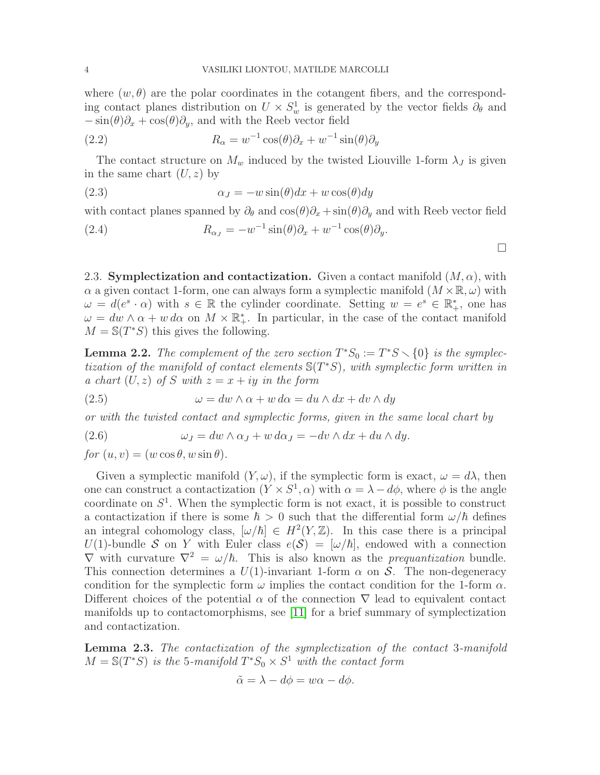where  $(w, \theta)$  are the polar coordinates in the cotangent fibers, and the corresponding contact planes distribution on  $U \times S_w^1$  is generated by the vector fields  $\partial_{\theta}$  and  $-\sin(\theta)\partial_x + \cos(\theta)\partial_y$ , and with the Reeb vector field

<span id="page-3-2"></span>(2.2) 
$$
R_{\alpha} = w^{-1} \cos(\theta) \partial_x + w^{-1} \sin(\theta) \partial_y
$$

The contact structure on  $M_w$  induced by the twisted Liouville 1-form  $\lambda_J$  is given in the same chart  $(U, z)$  by

<span id="page-3-0"></span>(2.3) 
$$
\alpha_J = -w \sin(\theta) dx + w \cos(\theta) dy
$$

with contact planes spanned by  $\partial_{\theta}$  and  $\cos(\theta)\partial_{x} + \sin(\theta)\partial_{y}$  and with Reeb vector field

<span id="page-3-3"></span>(2.4) 
$$
R_{\alpha_J} = -w^{-1}\sin(\theta)\partial_x + w^{-1}\cos(\theta)\partial_y.
$$

 $\Box$ 

<span id="page-3-4"></span>2.3. Symplectization and contactization. Given a contact manifold  $(M, \alpha)$ , with  $\alpha$  a given contact 1-form, one can always form a symplectic manifold  $(M \times \mathbb{R}, \omega)$  with  $\omega = d(e^s \cdot \alpha)$  with  $s \in \mathbb{R}$  the cylinder coordinate. Setting  $w = e^s \in \mathbb{R}^*_+$ , one has  $\omega = dw \wedge \alpha + w \, d\alpha$  on  $M \times \mathbb{R}^*$ . In particular, in the case of the contact manifold  $M = \mathbb{S}(T^*S)$  this gives the following.

**Lemma 2.2.** The complement of the zero section  $T^*S_0 := T^*S \setminus \{0\}$  is the symplectization of the manifold of contact elements  $\mathbb{S}(T^*S)$ , with symplectic form written in a chart  $(U, z)$  of S with  $z = x + iy$  in the form

(2.5) 
$$
\omega = dw \wedge \alpha + w \, d\alpha = du \wedge dx + dv \wedge dy
$$

or with the twisted contact and symplectic forms, given in the same local chart by

<span id="page-3-1"></span>(2.6) 
$$
\omega_J = dw \wedge \alpha_J + w \, d\alpha_J = -dv \wedge dx + du \wedge dy.
$$

for  $(u, v) = (w \cos \theta, w \sin \theta).$ 

Given a symplectic manifold  $(Y, \omega)$ , if the symplectic form is exact,  $\omega = d\lambda$ , then one can construct a contactization  $(Y \times S^1, \alpha)$  with  $\alpha = \lambda - d\phi$ , where  $\phi$  is the angle coordinate on  $S<sup>1</sup>$ . When the symplectic form is not exact, it is possible to construct a contactization if there is some  $\hbar > 0$  such that the differential form  $\omega/\hbar$  defines an integral cohomology class,  $[\omega/\hbar] \in H^2(Y,\mathbb{Z})$ . In this case there is a principal U(1)-bundle S on Y with Euler class  $e(S) = [\omega/\hbar]$ , endowed with a connection  $\nabla$  with curvature  $\nabla^2 = \omega/\hbar$ . This is also known as the *prequantization* bundle. This connection determines a  $U(1)$ -invariant 1-form  $\alpha$  on  $S$ . The non-degeneracy condition for the symplectic form  $\omega$  implies the contact condition for the 1-form  $\alpha$ . Different choices of the potential  $\alpha$  of the connection  $\nabla$  lead to equivalent contact manifolds up to contactomorphisms, see [\[11\]](#page-26-2) for a brief summary of symplectization and contactization.

Lemma 2.3. The contactization of the symplectization of the contact 3-manifold  $M = \mathbb{S}(T^*S)$  is the 5-manifold  $T^*S_0 \times S^1$  with the contact form

$$
\tilde{\alpha} = \lambda - d\phi = w\alpha - d\phi.
$$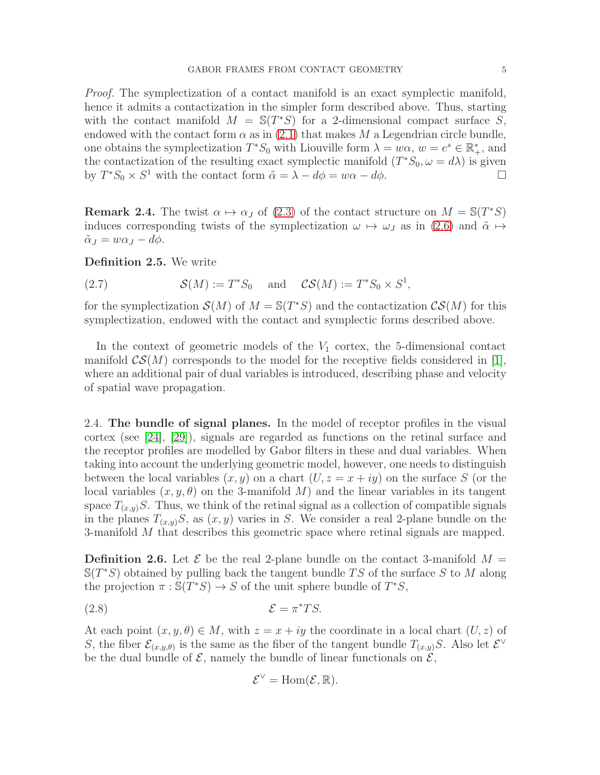Proof. The symplectization of a contact manifold is an exact symplectic manifold, hence it admits a contactization in the simpler form described above. Thus, starting with the contact manifold  $M = \mathbb{S}(T^*S)$  for a 2-dimensional compact surface  $S$ , endowed with the contact form  $\alpha$  as in [\(2.1\)](#page-2-0) that makes M a Legendrian circle bundle, one obtains the symplectization  $T^*S_0$  with Liouville form  $\lambda = w\alpha$ ,  $w = e^s \in \mathbb{R}^*$ , and the contactization of the resulting exact symplectic manifold  $(T^*S_0, \omega = d\lambda)$  is given by  $T^*S_0 \times S^1$  with the contact form  $\tilde{\alpha} = \lambda - d\phi = w\alpha - d\phi$ .

**Remark 2.4.** The twist  $\alpha \mapsto \alpha_J$  of [\(2.3\)](#page-3-0) of the contact structure on  $M = \mathbb{S}(T^*S)$ induces corresponding twists of the symplectization  $\omega \mapsto \omega_J$  as in [\(2.6\)](#page-3-1) and  $\tilde{\alpha} \mapsto$  $\tilde{\alpha}_J = w\alpha_J - d\phi.$ 

Definition 2.5. We write

(2.7)  $S(M) := T^*S_0$  and  $CS(M) := T^*S_0 \times S^1$ ,

for the symplectization  $S(M)$  of  $M = \mathbb{S}(T^*S)$  and the contactization  $\mathcal{CS}(M)$  for this symplectization, endowed with the contact and symplectic forms described above.

In the context of geometric models of the  $V_1$  cortex, the 5-dimensional contact manifold  $\mathcal{CS}(M)$  corresponds to the model for the receptive fields considered in [\[1\]](#page-26-0), where an additional pair of dual variables is introduced, describing phase and velocity of spatial wave propagation.

<span id="page-4-0"></span>2.4. The bundle of signal planes. In the model of receptor profiles in the visual cortex (see [\[24\]](#page-27-0), [\[29\]](#page-27-1)), signals are regarded as functions on the retinal surface and the receptor profiles are modelled by Gabor filters in these and dual variables. When taking into account the underlying geometric model, however, one needs to distinguish between the local variables  $(x, y)$  on a chart  $(U, z = x + iy)$  on the surface S (or the local variables  $(x, y, \theta)$  on the 3-manifold M) and the linear variables in its tangent space  $T_{(x,y)}S$ . Thus, we think of the retinal signal as a collection of compatible signals in the planes  $T_{(x,y)}S$ , as  $(x, y)$  varies in S. We consider a real 2-plane bundle on the 3-manifold M that describes this geometric space where retinal signals are mapped.

**Definition 2.6.** Let  $\mathcal{E}$  be the real 2-plane bundle on the contact 3-manifold  $M =$  $\mathbb{S}(T^*S)$  obtained by pulling back the tangent bundle TS of the surface S to M along the projection  $\pi : \mathbb{S}(T^*S) \to S$  of the unit sphere bundle of  $T^*S$ ,

$$
\mathcal{E} = \pi^* TS.
$$

At each point  $(x, y, \theta) \in M$ , with  $z = x + iy$  the coordinate in a local chart  $(U, z)$  of S, the fiber  $\mathcal{E}_{(x,y,\theta)}$  is the same as the fiber of the tangent bundle  $T_{(x,y)}S$ . Also let  $\mathcal{E}^{\vee}$ be the dual bundle of  $\mathcal{E}$ , namely the bundle of linear functionals on  $\mathcal{E}$ ,

$$
\mathcal{E}^{\vee}=\mathrm{Hom}(\mathcal{E},\mathbb{R}).
$$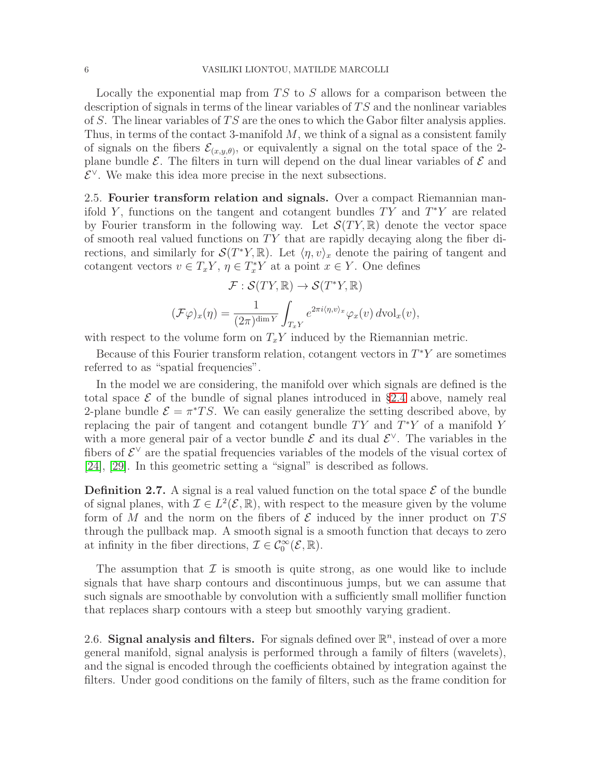Locally the exponential map from  $TS$  to  $S$  allows for a comparison between the description of signals in terms of the linear variables of  $TS$  and the nonlinear variables of S. The linear variables of  $TS$  are the ones to which the Gabor filter analysis applies. Thus, in terms of the contact 3-manifold  $M$ , we think of a signal as a consistent family of signals on the fibers  $\mathcal{E}_{(x,y,\theta)}$ , or equivalently a signal on the total space of the 2plane bundle  $\mathcal{E}$ . The filters in turn will depend on the dual linear variables of  $\mathcal{E}$  and  $\mathcal{E}^{\vee}$ . We make this idea more precise in the next subsections.

2.5. Fourier transform relation and signals. Over a compact Riemannian manifold Y, functions on the tangent and cotangent bundles  $TY$  and  $T^*Y$  are related by Fourier transform in the following way. Let  $\mathcal{S}(TY,\mathbb{R})$  denote the vector space of smooth real valued functions on  $TY$  that are rapidly decaying along the fiber directions, and similarly for  $\mathcal{S}(T^*Y,\mathbb{R})$ . Let  $\langle \eta, v \rangle_x$  denote the pairing of tangent and cotangent vectors  $v \in T_xY$ ,  $\eta \in T_x^*Y$  at a point  $x \in Y$ . One defines

$$
\mathcal{F}: \mathcal{S}(TY, \mathbb{R}) \to \mathcal{S}(T^*Y, \mathbb{R})
$$

$$
(\mathcal{F}\varphi)_x(\eta) = \frac{1}{(2\pi)^{\dim Y}} \int_{T_xY} e^{2\pi i \langle \eta, v \rangle_x} \varphi_x(v) \, d\mathrm{vol}_x(v),
$$

with respect to the volume form on  $T_xY$  induced by the Riemannian metric.

Because of this Fourier transform relation, cotangent vectors in  $T^*Y$  are sometimes referred to as "spatial frequencies".

In the model we are considering, the manifold over which signals are defined is the total space  $\mathcal E$  of the bundle of signal planes introduced in §[2.4](#page-4-0) above, namely real 2-plane bundle  $\mathcal{E} = \pi^* TS$ . We can easily generalize the setting described above, by replacing the pair of tangent and cotangent bundle  $TY$  and  $T^*Y$  of a manifold Y with a more general pair of a vector bundle  $\mathcal{E}$  and its dual  $\mathcal{E}^{\vee}$ . The variables in the fibers of  $\mathcal{E}^{\vee}$  are the spatial frequencies variables of the models of the visual cortex of [\[24\]](#page-27-0), [\[29\]](#page-27-1). In this geometric setting a "signal" is described as follows.

**Definition 2.7.** A signal is a real valued function on the total space  $\mathcal{E}$  of the bundle of signal planes, with  $\mathcal{I} \in L^2(\mathcal{E}, \mathbb{R})$ , with respect to the measure given by the volume form of M and the norm on the fibers of  $\mathcal E$  induced by the inner product on TS through the pullback map. A smooth signal is a smooth function that decays to zero at infinity in the fiber directions,  $\mathcal{I} \in C_0^{\infty}(\mathcal{E}, \mathbb{R})$ .

The assumption that  $\mathcal I$  is smooth is quite strong, as one would like to include signals that have sharp contours and discontinuous jumps, but we can assume that such signals are smoothable by convolution with a sufficiently small mollifier function that replaces sharp contours with a steep but smoothly varying gradient.

2.6. Signal analysis and filters. For signals defined over  $\mathbb{R}^n$ , instead of over a more general manifold, signal analysis is performed through a family of filters (wavelets), and the signal is encoded through the coefficients obtained by integration against the filters. Under good conditions on the family of filters, such as the frame condition for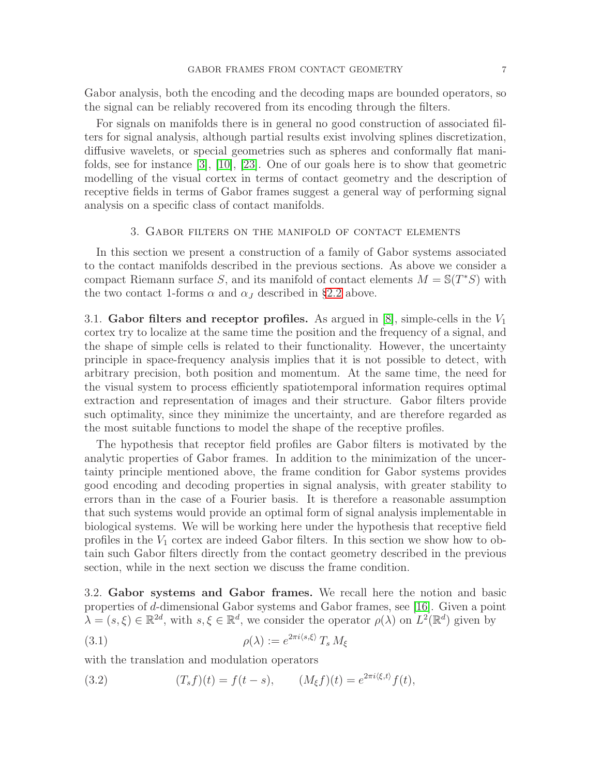Gabor analysis, both the encoding and the decoding maps are bounded operators, so the signal can be reliably recovered from its encoding through the filters.

For signals on manifolds there is in general no good construction of associated filters for signal analysis, although partial results exist involving splines discretization, diffusive wavelets, or special geometries such as spheres and conformally flat manifolds, see for instance [\[3\]](#page-26-3), [\[10\]](#page-26-4), [\[23\]](#page-27-5). One of our goals here is to show that geometric modelling of the visual cortex in terms of contact geometry and the description of receptive fields in terms of Gabor frames suggest a general way of performing signal analysis on a specific class of contact manifolds.

# 3. Gabor filters on the manifold of contact elements

In this section we present a construction of a family of Gabor systems associated to the contact manifolds described in the previous sections. As above we consider a compact Riemann surface S, and its manifold of contact elements  $M = \mathbb{S}(T^*S)$  with the two contact 1-forms  $\alpha$  and  $\alpha$  described in §[2.2](#page-2-1) above.

3.1. Gabor filters and receptor profiles. As argued in  $[8]$ , simple-cells in the  $V_1$ cortex try to localize at the same time the position and the frequency of a signal, and the shape of simple cells is related to their functionality. However, the uncertainty principle in space-frequency analysis implies that it is not possible to detect, with arbitrary precision, both position and momentum. At the same time, the need for the visual system to process efficiently spatiotemporal information requires optimal extraction and representation of images and their structure. Gabor filters provide such optimality, since they minimize the uncertainty, and are therefore regarded as the most suitable functions to model the shape of the receptive profiles.

The hypothesis that receptor field profiles are Gabor filters is motivated by the analytic properties of Gabor frames. In addition to the minimization of the uncertainty principle mentioned above, the frame condition for Gabor systems provides good encoding and decoding properties in signal analysis, with greater stability to errors than in the case of a Fourier basis. It is therefore a reasonable assumption that such systems would provide an optimal form of signal analysis implementable in biological systems. We will be working here under the hypothesis that receptive field profiles in the  $V_1$  cortex are indeed Gabor filters. In this section we show how to obtain such Gabor filters directly from the contact geometry described in the previous section, while in the next section we discuss the frame condition.

3.2. Gabor systems and Gabor frames. We recall here the notion and basic properties of d-dimensional Gabor systems and Gabor frames, see [\[16\]](#page-27-6). Given a point  $\lambda = (s, \xi) \in \mathbb{R}^{2d}$ , with  $s, \xi \in \mathbb{R}^d$ , we consider the operator  $\rho(\lambda)$  on  $L^2(\mathbb{R}^d)$  given by

 $2\pi$   $\frac{1}{2}$ 

(3.1) 
$$
\rho(\lambda) := e^{2\pi i \langle s, \xi \rangle} T_s M_{\xi}
$$

with the translation and modulation operators

(3.2) 
$$
(T_s f)(t) = f(t - s), \qquad (M_{\xi} f)(t) = e^{2\pi i \langle \xi, t \rangle} f(t),
$$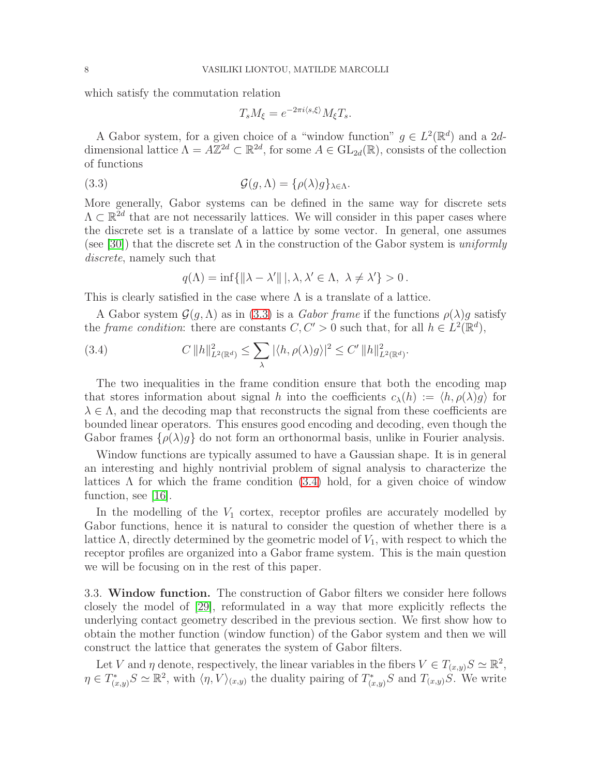which satisfy the commutation relation

<span id="page-7-0"></span>
$$
T_s M_{\xi} = e^{-2\pi i \langle s, \xi \rangle} M_{\xi} T_s.
$$

A Gabor system, for a given choice of a "window function"  $g \in L^2(\mathbb{R}^d)$  and a 2ddimensional lattice  $\Lambda = A\mathbb{Z}^{2d} \subset \mathbb{R}^{2d}$ , for some  $A \in GL_{2d}(\mathbb{R})$ , consists of the collection of functions

(3.3) 
$$
\mathcal{G}(g,\Lambda) = \{\rho(\lambda)g\}_{\lambda \in \Lambda}.
$$

More generally, Gabor systems can be defined in the same way for discrete sets  $\Lambda \subset \mathbb{R}^{2d}$  that are not necessarily lattices. We will consider in this paper cases where the discrete set is a translate of a lattice by some vector. In general, one assumes (see [\[30\]](#page-27-7)) that the discrete set  $\Lambda$  in the construction of the Gabor system is uniformly discrete, namely such that

<span id="page-7-1"></span>
$$
q(\Lambda) = \inf \{ ||\lambda - \lambda'|| |, \lambda, \lambda' \in \Lambda, \ \lambda \neq \lambda' \} > 0.
$$

This is clearly satisfied in the case where  $\Lambda$  is a translate of a lattice.

A Gabor system  $\mathcal{G}(q,\Lambda)$  as in [\(3.3\)](#page-7-0) is a Gabor frame if the functions  $\rho(\lambda)g$  satisfy the *frame condition*: there are constants  $C, C' > 0$  such that, for all  $h \in L^2(\mathbb{R}^d)$ ,

(3.4) 
$$
C \|h\|_{L^2(\mathbb{R}^d)}^2 \leq \sum_{\lambda} |\langle h, \rho(\lambda)g \rangle|^2 \leq C' \|h\|_{L^2(\mathbb{R}^d)}^2.
$$

The two inequalities in the frame condition ensure that both the encoding map that stores information about signal h into the coefficients  $c_{\lambda}(h) := \langle h, \rho(\lambda)g \rangle$  for  $\lambda \in \Lambda$ , and the decoding map that reconstructs the signal from these coefficients are bounded linear operators. This ensures good encoding and decoding, even though the Gabor frames  $\{\rho(\lambda)g\}$  do not form an orthonormal basis, unlike in Fourier analysis.

Window functions are typically assumed to have a Gaussian shape. It is in general an interesting and highly nontrivial problem of signal analysis to characterize the lattices  $\Lambda$  for which the frame condition [\(3.4\)](#page-7-1) hold, for a given choice of window function, see [\[16\]](#page-27-6).

In the modelling of the  $V_1$  cortex, receptor profiles are accurately modelled by Gabor functions, hence it is natural to consider the question of whether there is a lattice  $\Lambda$ , directly determined by the geometric model of  $V_1$ , with respect to which the receptor profiles are organized into a Gabor frame system. This is the main question we will be focusing on in the rest of this paper.

<span id="page-7-2"></span>3.3. Window function. The construction of Gabor filters we consider here follows closely the model of [\[29\]](#page-27-1), reformulated in a way that more explicitly reflects the underlying contact geometry described in the previous section. We first show how to obtain the mother function (window function) of the Gabor system and then we will construct the lattice that generates the system of Gabor filters.

Let V and  $\eta$  denote, respectively, the linear variables in the fibers  $V \in T_{(x,y)}S \simeq \mathbb{R}^2$ ,  $\eta \in T^*_{(x,y)}S \simeq \mathbb{R}^2$ , with  $\langle \eta, V \rangle_{(x,y)}$  the duality pairing of  $T^*_{(x,y)}S$  and  $T_{(x,y)}\tilde{S}$ . We write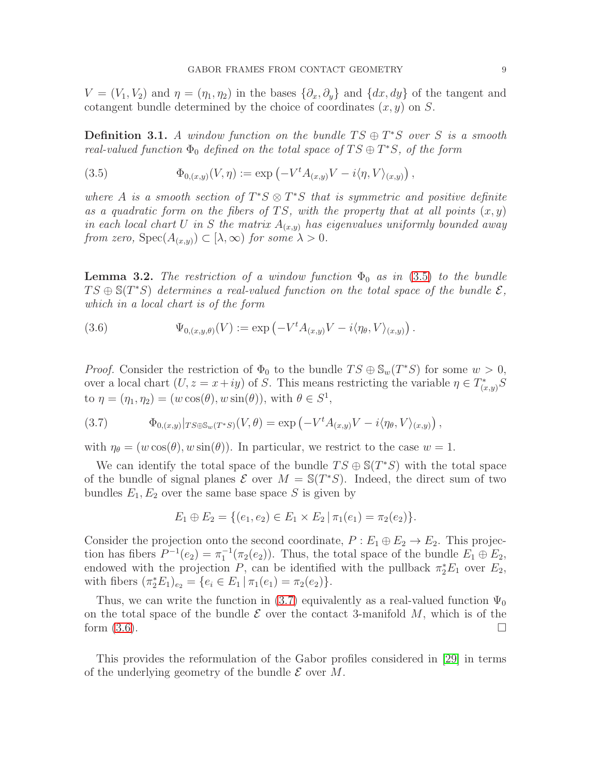$V = (V_1, V_2)$  and  $\eta = (\eta_1, \eta_2)$  in the bases  $\{\partial_x, \partial_y\}$  and  $\{dx, dy\}$  of the tangent and cotangent bundle determined by the choice of coordinates  $(x, y)$  on S.

<span id="page-8-3"></span>**Definition 3.1.** A window function on the bundle  $TS \oplus T^*S$  over S is a smooth real-valued function  $\Phi_0$  defined on the total space of  $TS \oplus T^*S$ , of the form

<span id="page-8-0"></span>(3.5) 
$$
\Phi_{0,(x,y)}(V,\eta) := \exp\left(-V^t A_{(x,y)}V - i\langle \eta, V \rangle_{(x,y)}\right),
$$

where A is a smooth section of  $T^*S \otimes T^*S$  that is symmetric and positive definite as a quadratic form on the fibers of TS, with the property that at all points  $(x, y)$ in each local chart U in S the matrix  $A_{(x,y)}$  has eigenvalues uniformly bounded away from zero,  $Spec(A_{(x,y)}) \subset [\lambda, \infty)$  for some  $\lambda > 0$ .

**Lemma 3.2.** The restriction of a window function  $\Phi_0$  as in [\(3.5\)](#page-8-0) to the bundle  $TS \oplus \mathbb{S}(T^*S)$  determines a real-valued function on the total space of the bundle  $\mathcal{E},$ which in a local chart is of the form

<span id="page-8-2"></span>(3.6) 
$$
\Psi_{0,(x,y,\theta)}(V) := \exp\left(-V^t A_{(x,y)}V - i\langle \eta_\theta, V \rangle_{(x,y)}\right).
$$

*Proof.* Consider the restriction of  $\Phi_0$  to the bundle  $TS \oplus \mathbb{S}_w(T^*S)$  for some  $w > 0$ , over a local chart  $(U, z = x + iy)$  of S. This means restricting the variable  $\eta \in T^*_{(x,y)}S$ to  $\eta = (\eta_1, \eta_2) = (w \cos(\theta), w \sin(\theta)),$  with  $\theta \in S^1$ ,

<span id="page-8-1"></span>(3.7) 
$$
\Phi_{0,(x,y)}|_{TS\oplus \mathbb{S}_w(T^*S)}(V,\theta)=\exp\left(-V^tA_{(x,y)}V-i\langle \eta_\theta,V\rangle_{(x,y)}\right),
$$

with  $\eta_{\theta} = (w \cos(\theta), w \sin(\theta))$ . In particular, we restrict to the case  $w = 1$ .

We can identify the total space of the bundle  $TS \oplus \mathbb{S}(T^*S)$  with the total space of the bundle of signal planes  $\mathcal E$  over  $M = \mathbb S(T^*S)$ . Indeed, the direct sum of two bundles  $E_1, E_2$  over the same base space S is given by

$$
E_1 \oplus E_2 = \{ (e_1, e_2) \in E_1 \times E_2 \mid \pi_1(e_1) = \pi_2(e_2) \}.
$$

Consider the projection onto the second coordinate,  $P : E_1 \oplus E_2 \rightarrow E_2$ . This projection has fibers  $P^{-1}(e_2) = \pi_1^{-1}(\pi_2(e_2))$ . Thus, the total space of the bundle  $E_1 \oplus E_2$ , endowed with the projection P, can be identified with the pullback  $\pi_2^* E_1$  over  $E_2$ , with fibers  $(\pi_2^* E_1)_{e_2} = \{e_i \in E_1 | \pi_1(e_1) = \pi_2(e_2)\}.$ 

Thus, we can write the function in [\(3.7\)](#page-8-1) equivalently as a real-valued function  $\Psi_0$ on the total space of the bundle  $\mathcal E$  over the contact 3-manifold  $M$ , which is of the form (3.6). form  $(3.6)$ .

This provides the reformulation of the Gabor profiles considered in [\[29\]](#page-27-1) in terms of the underlying geometry of the bundle  $\mathcal E$  over  $M$ .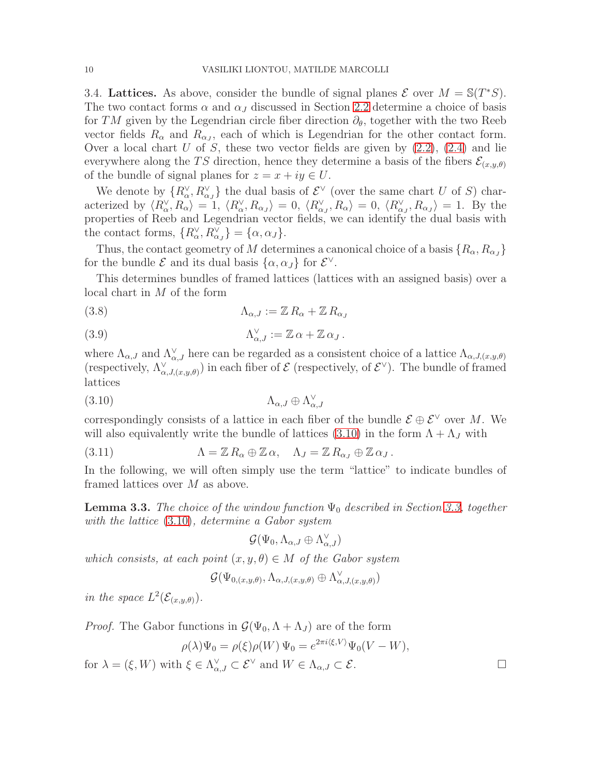3.4. Lattices. As above, consider the bundle of signal planes  $\mathcal{E}$  over  $M = \mathbb{S}(T^*S)$ . The two contact forms  $\alpha$  and  $\alpha$ <sub>J</sub> discussed in Section [2.2](#page-2-1) determine a choice of basis for TM given by the Legendrian circle fiber direction  $\partial_{\theta}$ , together with the two Reeb vector fields  $R_{\alpha}$  and  $R_{\alpha}$ , each of which is Legendrian for the other contact form. Over a local chart U of S, these two vector fields are given by  $(2.2)$ ,  $(2.4)$  and lie everywhere along the TS direction, hence they determine a basis of the fibers  $\mathcal{E}_{(x,y,\theta)}$ of the bundle of signal planes for  $z = x + iy \in U$ .

We denote by  $\{R_{\alpha}^{\vee}, R_{\alpha}^{\vee}\}\$  the dual basis of  $\mathcal{E}^{\vee}$  (over the same chart U of S) characterized by  $\langle R_{\alpha}^{\vee}, R_{\alpha} \rangle = 1, \langle R_{\alpha}^{\vee}, R_{\alpha} \rangle = 0, \langle R_{\alpha}^{\vee}, R_{\alpha} \rangle = 0, \langle R_{\alpha}^{\vee}, R_{\alpha} \rangle = 1$ . By the properties of Reeb and Legendrian vector fields, we can identify the dual basis with the contact forms,  $\{R_{\alpha}^{\vee}, R_{\alpha}^{\vee}\} = \{\alpha, \alpha_{J}\}.$ 

Thus, the contact geometry of M determines a canonical choice of a basis  $\{R_{\alpha}, R_{\alpha J}\}\$ for the bundle  $\mathcal E$  and its dual basis  $\{\alpha, \alpha_J\}$  for  $\mathcal E^{\vee}$ .

This determines bundles of framed lattices (lattices with an assigned basis) over a local chart in M of the form

<span id="page-9-2"></span>(3.8) 
$$
\Lambda_{\alpha,J} := \mathbb{Z} R_{\alpha} + \mathbb{Z} R_{\alpha,j}
$$

<span id="page-9-3"></span>(3.9) 
$$
\Lambda_{\alpha,J}^{\vee} := \mathbb{Z} \alpha + \mathbb{Z} \alpha_J.
$$

where  $\Lambda_{\alpha,J}$  and  $\Lambda_{\alpha,J}^{\vee}$  here can be regarded as a consistent choice of a lattice  $\Lambda_{\alpha,J,(x,y,\theta)}$ (respectively,  $\Lambda_{\alpha,J,(x,y,\theta)}^{\vee}$ ) in each fiber of  $\mathcal{E}$  (respectively, of  $\mathcal{E}^{\vee}$ ). The bundle of framed lattices

$$
(3.10)\quad \Lambda_{\alpha,J} \oplus \Lambda_{\alpha,J}^{\vee}
$$

correspondingly consists of a lattice in each fiber of the bundle  $\mathcal{E} \oplus \mathcal{E}^{\vee}$  over M. We will also equivalently write the bundle of lattices [\(3.10\)](#page-9-0) in the form  $\Lambda + \Lambda_J$  with

(3.11) 
$$
\Lambda = \mathbb{Z} R_{\alpha} \oplus \mathbb{Z} \alpha, \quad \Lambda_J = \mathbb{Z} R_{\alpha_J} \oplus \mathbb{Z} \alpha_J.
$$

In the following, we will often simply use the term "lattice" to indicate bundles of framed lattices over M as above.

<span id="page-9-1"></span>**Lemma 3.3.** The choice of the window function  $\Psi_0$  described in Section [3.3,](#page-7-2) together with the lattice [\(3.10\)](#page-9-0), determine a Gabor system

<span id="page-9-0"></span>
$$
\mathcal{G}(\Psi_0, \Lambda_{\alpha,J} \oplus \Lambda_{\alpha,J}^{\vee})
$$

which consists, at each point  $(x, y, \theta) \in M$  of the Gabor system

$$
\mathcal{G}(\Psi_{0,(x,y,\theta)},\Lambda_{\alpha,J,(x,y,\theta)}\oplus\Lambda_{\alpha,J,(x,y,\theta)}^{\vee})
$$

in the space  $L^2(\mathcal{E}_{(x,y,\theta)}).$ 

*Proof.* The Gabor functions in 
$$
\mathcal{G}(\Psi_0, \Lambda + \Lambda_J)
$$
 are of the form

$$
\rho(\lambda)\Psi_0 = \rho(\xi)\rho(W)\Psi_0 = e^{2\pi i\langle\xi,V\rangle}\Psi_0(V-W),
$$

for  $\lambda = (\xi, W)$  with  $\xi \in \Lambda_{\alpha,J}^{\vee} \subset \mathcal{E}^{\vee}$  and  $W \in \Lambda_{\alpha,J} \subset \mathcal{E}$ .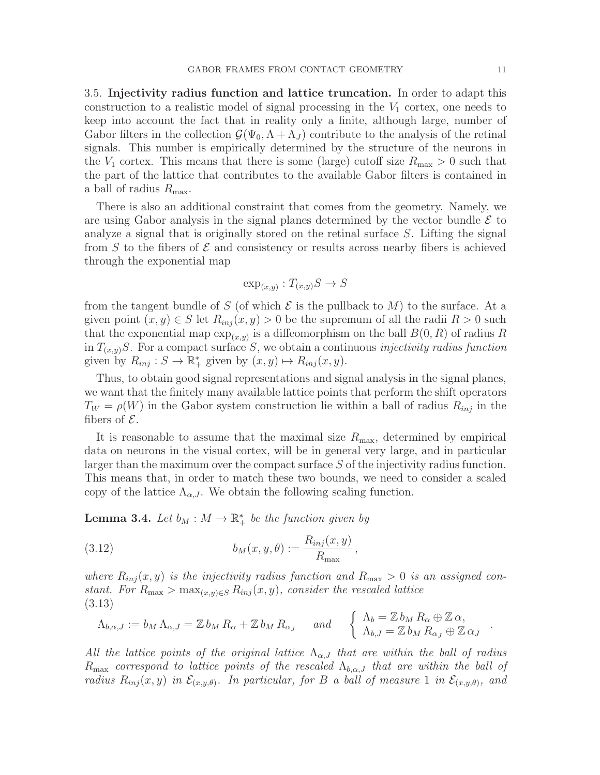<span id="page-10-1"></span>3.5. Injectivity radius function and lattice truncation. In order to adapt this construction to a realistic model of signal processing in the  $V_1$  cortex, one needs to keep into account the fact that in reality only a finite, although large, number of Gabor filters in the collection  $\mathcal{G}(\Psi_0, \Lambda + \Lambda_J)$  contribute to the analysis of the retinal signals. This number is empirically determined by the structure of the neurons in the  $V_1$  cortex. This means that there is some (large) cutoff size  $R_{\text{max}} > 0$  such that the part of the lattice that contributes to the available Gabor filters is contained in a ball of radius  $R_{\text{max}}$ .

There is also an additional constraint that comes from the geometry. Namely, we are using Gabor analysis in the signal planes determined by the vector bundle  $\mathcal E$  to analyze a signal that is originally stored on the retinal surface S. Lifting the signal from S to the fibers of  $\mathcal E$  and consistency or results across nearby fibers is achieved through the exponential map

$$
\exp_{(x,y)}:T_{(x,y)}S\to S
$$

from the tangent bundle of S (of which  $\mathcal E$  is the pullback to M) to the surface. At a given point  $(x, y) \in S$  let  $R_{inj}(x, y) > 0$  be the supremum of all the radii  $R > 0$  such that the exponential map  $\exp_{(x,y)}$  is a diffeomorphism on the ball  $B(0, R)$  of radius R in  $T_{(x,y)}S$ . For a compact surface S, we obtain a continuous *injectivity radius function* given by  $R_{inj}: S \to \mathbb{R}_+^*$  given by  $(x, y) \mapsto R_{inj}(x, y)$ .

Thus, to obtain good signal representations and signal analysis in the signal planes, we want that the finitely many available lattice points that perform the shift operators  $T_W = \rho(W)$  in the Gabor system construction lie within a ball of radius  $R_{inj}$  in the fibers of  $\mathcal{E}$ .

It is reasonable to assume that the maximal size  $R_{\text{max}}$ , determined by empirical data on neurons in the visual cortex, will be in general very large, and in particular larger than the maximum over the compact surface S of the injectivity radius function. This means that, in order to match these two bounds, we need to consider a scaled copy of the lattice  $\Lambda_{\alpha,J}$ . We obtain the following scaling function.

<span id="page-10-3"></span>**Lemma 3.4.** Let  $b_M : M \to \mathbb{R}^*_+$  be the function given by

<span id="page-10-0"></span>(3.12) 
$$
b_M(x,y,\theta) := \frac{R_{inj}(x,y)}{R_{\text{max}}},
$$

where  $R_{inj}(x, y)$  is the injectivity radius function and  $R_{max} > 0$  is an assigned constant. For  $R_{\text{max}} > \max_{(x,y)\in S} R_{inj}(x, y)$ , consider the rescaled lattice (3.13)

<span id="page-10-2"></span>
$$
\Lambda_{b,\alpha,J} := b_M \Lambda_{\alpha,J} = \mathbb{Z} b_M R_\alpha + \mathbb{Z} b_M R_{\alpha,J} \quad \text{and} \quad \begin{cases} \Lambda_b = \mathbb{Z} b_M R_\alpha \oplus \mathbb{Z} \alpha, \\ \Lambda_{b,J} = \mathbb{Z} b_M R_{\alpha,J} \oplus \mathbb{Z} \alpha_J \end{cases}
$$

All the lattice points of the original lattice  $\Lambda_{\alpha,J}$  that are within the ball of radius  $R_{\text{max}}$  correspond to lattice points of the rescaled  $\Lambda_{b,\alpha,J}$  that are within the ball of radius  $R_{inj}(x, y)$  in  $\mathcal{E}_{(x, y, \theta)}$ . In particular, for B a ball of measure 1 in  $\mathcal{E}_{(x, y, \theta)}$ , and

.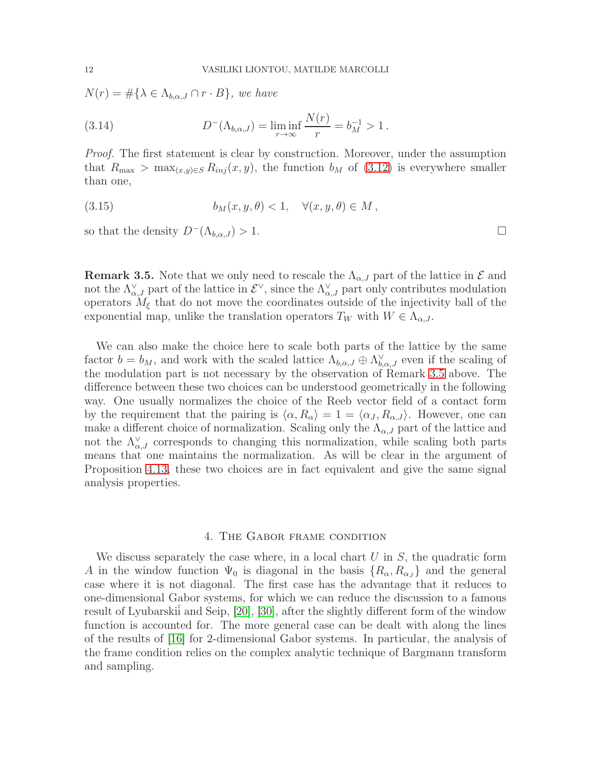$N(r) = \#\{\lambda \in \Lambda_{b,\alpha,J} \cap r \cdot B\},\$  we have

(3.14) 
$$
D^{-}(\Lambda_{b,\alpha,J}) = \liminf_{r \to \infty} \frac{N(r)}{r} = b_M^{-1} > 1.
$$

Proof. The first statement is clear by construction. Moreover, under the assumption that  $R_{\text{max}} > \max_{(x,y)\in S} R_{inj}(x, y)$ , the function  $b_M$  of  $(3.12)$  is everywhere smaller than one,

<span id="page-11-1"></span>(3.15) 
$$
b_M(x, y, \theta) < 1, \quad \forall (x, y, \theta) \in M,
$$

so that the density  $D^{-}(\Lambda_{b,\alpha,J}) > 1$ .

<span id="page-11-0"></span>**Remark 3.5.** Note that we only need to rescale the  $\Lambda_{\alpha,J}$  part of the lattice in  $\mathcal E$  and not the  $\Lambda_{\alpha,J}^{\vee}$  part of the lattice in  $\mathcal{E}^{\vee}$ , since the  $\Lambda_{\alpha,J}^{\vee}$  part only contributes modulation operators  $M_{\xi}$  that do not move the coordinates outside of the injectivity ball of the exponential map, unlike the translation operators  $T_W$  with  $W \in \Lambda_{\alpha,J}$ .

We can also make the choice here to scale both parts of the lattice by the same factor  $b = b_M$ , and work with the scaled lattice  $\Lambda_{b,\alpha,J} \oplus \Lambda_{b,\alpha,J}^{\vee}$  even if the scaling of the modulation part is not necessary by the observation of Remark [3.5](#page-11-0) above. The difference between these two choices can be understood geometrically in the following way. One usually normalizes the choice of the Reeb vector field of a contact form by the requirement that the pairing is  $\langle \alpha, R_{\alpha} \rangle = 1 = \langle \alpha_J, R_{\alpha,J} \rangle$ . However, one can make a different choice of normalization. Scaling only the  $\Lambda_{\alpha,J}$  part of the lattice and not the  $\Lambda_{\alpha,J}^{\vee}$  corresponds to changing this normalization, while scaling both parts means that one maintains the normalization. As will be clear in the argument of Proposition [4.13,](#page-20-0) these two choices are in fact equivalent and give the same signal analysis properties.

#### 4. The Gabor frame condition

We discuss separately the case where, in a local chart  $U$  in  $S$ , the quadratic form A in the window function  $\Psi_0$  is diagonal in the basis  $\{R_\alpha, R_{\alpha_J}\}\$  and the general case where it is not diagonal. The first case has the advantage that it reduces to one-dimensional Gabor systems, for which we can reduce the discussion to a famous result of Lyubarskii and Seip, [\[20\]](#page-27-8), [\[30\]](#page-27-7), after the slightly different form of the window function is accounted for. The more general case can be dealt with along the lines of the results of [\[16\]](#page-27-6) for 2-dimensional Gabor systems. In particular, the analysis of the frame condition relies on the complex analytic technique of Bargmann transform and sampling.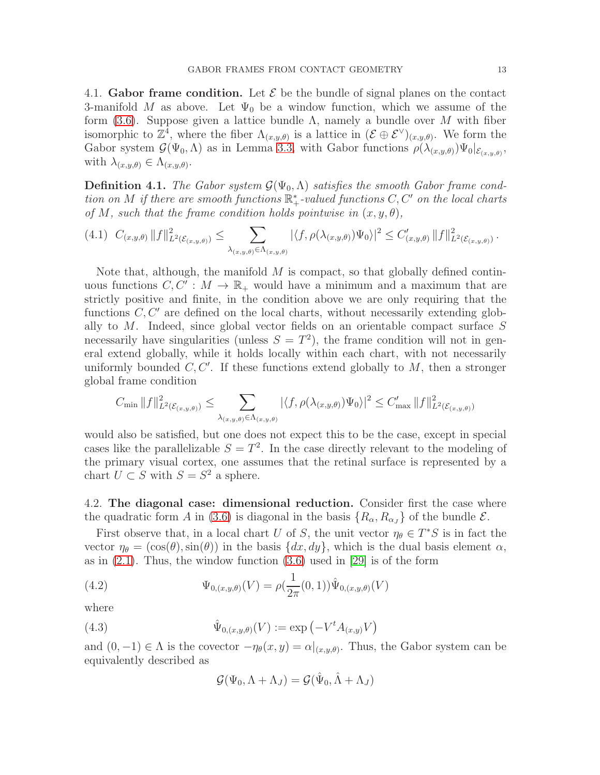4.1. Gabor frame condition. Let  $\mathcal E$  be the bundle of signal planes on the contact 3-manifold M as above. Let  $\Psi_0$  be a window function, which we assume of the form [\(3.6\)](#page-8-2). Suppose given a lattice bundle  $\Lambda$ , namely a bundle over M with fiber isomorphic to  $\mathbb{Z}^4$ , where the fiber  $\Lambda_{(x,y,\theta)}$  is a lattice in  $(\mathcal{E} \oplus \mathcal{E}^{\vee})_{(x,y,\theta)}$ . We form the Gabor system  $\mathcal{G}(\Psi_0,\Lambda)$  as in Lemma [3.3,](#page-9-1) with Gabor functions  $\rho(\lambda_{(x,y,\theta)})\Psi_0|_{\mathcal{E}_{(x,y,\theta)}},$ with  $\lambda_{(x,y,\theta)} \in \Lambda_{(x,y,\theta)}$ .

<span id="page-12-1"></span>**Definition 4.1.** The Gabor system  $\mathcal{G}(\Psi_0, \Lambda)$  satisfies the smooth Gabor frame condtion on M if there are smooth functions  $\mathbb{R}^*_+$ -valued functions  $C, C'$  on the local charts of M, such that the frame condition holds pointwise in  $(x, y, \theta)$ ,

$$
(4.1) \ C_{(x,y,\theta)} \|f\|_{L^2(\mathcal{E}_{(x,y,\theta)})}^2 \leq \sum_{\lambda_{(x,y,\theta)} \in \Lambda_{(x,y,\theta)}} |\langle f, \rho(\lambda_{(x,y,\theta)}) \Psi_0 \rangle|^2 \leq C'_{(x,y,\theta)} \|f\|_{L^2(\mathcal{E}_{(x,y,\theta)})}^2.
$$

Note that, although, the manifold  $M$  is compact, so that globally defined continuous functions  $C, C' : M \to \mathbb{R}_+$  would have a minimum and a maximum that are strictly positive and finite, in the condition above we are only requiring that the functions  $C, C'$  are defined on the local charts, without necessarily extending globally to M. Indeed, since global vector fields on an orientable compact surface S necessarily have singularities (unless  $S = T<sup>2</sup>$ ), the frame condition will not in general extend globally, while it holds locally within each chart, with not necessarily uniformly bounded  $C, C'$ . If these functions extend globally to  $M$ , then a stronger global frame condition

$$
C_{\min} ||f||_{L^{2}(\mathcal{E}_{(x,y,\theta)})}^{2} \leq \sum_{\lambda_{(x,y,\theta)} \in \Lambda_{(x,y,\theta)}} |\langle f, \rho(\lambda_{(x,y,\theta)}) \Psi_{0} \rangle|^{2} \leq C'_{\max} ||f||_{L^{2}(\mathcal{E}_{(x,y,\theta)})}^{2}
$$

would also be satisfied, but one does not expect this to be the case, except in special cases like the parallelizable  $S = T^2$ . In the case directly relevant to the modeling of the primary visual cortex, one assumes that the retinal surface is represented by a chart  $U \subset S$  with  $S = S^2$  a sphere.

4.2. The diagonal case: dimensional reduction. Consider first the case where the quadratic form A in [\(3.6\)](#page-8-2) is diagonal in the basis  $\{R_{\alpha}, R_{\alpha} \}$  of the bundle  $\mathcal{E}$ .

First observe that, in a local chart U of S, the unit vector  $\eta_{\theta} \in T^*S$  is in fact the vector  $\eta_{\theta} = (\cos(\theta), \sin(\theta))$  in the basis  $\{dx, dy\}$ , which is the dual basis element  $\alpha$ , as in  $(2.1)$ . Thus, the window function  $(3.6)$  used in [\[29\]](#page-27-1) is of the form

(4.2) 
$$
\Psi_{0,(x,y,\theta)}(V) = \rho(\frac{1}{2\pi}(0,1))\hat{\Psi}_{0,(x,y,\theta)}(V)
$$

where

(4.3) 
$$
\hat{\Psi}_{0,(x,y,\theta)}(V) := \exp(-V^t A_{(x,y)} V)
$$

and  $(0, -1) \in \Lambda$  is the covector  $-\eta_{\theta}(x, y) = \alpha|_{(x, y, \theta)}$ . Thus, the Gabor system can be equivalently described as

<span id="page-12-0"></span>
$$
\mathcal{G}(\Psi_0, \Lambda + \Lambda_J) = \mathcal{G}(\hat{\Psi}_0, \hat{\Lambda} + \Lambda_J)
$$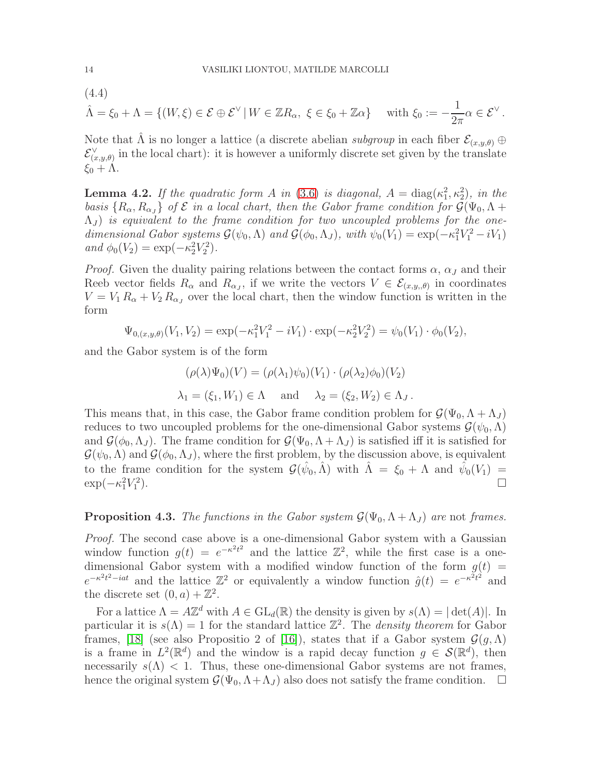(4.4)  
\n
$$
\hat{\Lambda} = \xi_0 + \Lambda = \{ (W, \xi) \in \mathcal{E} \oplus \mathcal{E}^{\vee} \mid W \in \mathbb{Z}R_{\alpha}, \ \xi \in \xi_0 + \mathbb{Z}\alpha \} \quad \text{with } \xi_0 := -\frac{1}{2\pi} \alpha \in \mathcal{E}^{\vee}.
$$

Note that  $\hat{\Lambda}$  is no longer a lattice (a discrete abelian *subgroup* in each fiber  $\mathcal{E}_{(x,y,\theta)}$  ⊕  $\mathcal{E}_{(x,y,\theta)}^{\vee}$  in the local chart): it is however a uniformly discrete set given by the translate  $\xi_0 + \Lambda$ .

**Lemma 4.2.** If the quadratic form A in [\(3.6\)](#page-8-2) is diagonal,  $A = \text{diag}(\kappa_1^2, \kappa_2^2)$ , in the basis  $\{R_\alpha, R_{\alpha J}\}\,$  of  $\mathcal E$  in a local chart, then the Gabor frame condition for  $\mathcal G(\Psi_0, \Lambda +$  $(\Lambda_J)$  is equivalent to the frame condition for two uncoupled problems for the onedimensional Gabor systems  $\mathcal{G}(\psi_0, \Lambda)$  and  $\mathcal{G}(\phi_0, \Lambda_J)$ , with  $\psi_0(V_1) = \exp(-\kappa_1^2 V_1^2 - iV_1)$ and  $\phi_0(V_2) = \exp(-\kappa_2^2 V_2^2)$ .

*Proof.* Given the duality pairing relations between the contact forms  $\alpha$ ,  $\alpha$ , and their Reeb vector fields  $R_{\alpha}$  and  $R_{\alpha}$ , if we write the vectors  $V \in \mathcal{E}_{(x,y,\theta)}$  in coordinates  $V = V_1 R_\alpha + V_2 R_{\alpha J}$  over the local chart, then the window function is written in the form

$$
\Psi_{0,(x,y,\theta)}(V_1,V_2) = \exp(-\kappa_1^2 V_1^2 - iV_1) \cdot \exp(-\kappa_2^2 V_2^2) = \psi_0(V_1) \cdot \phi_0(V_2),
$$

and the Gabor system is of the form

$$
(\rho(\lambda)\Psi_0)(V) = (\rho(\lambda_1)\psi_0)(V_1) \cdot (\rho(\lambda_2)\phi_0)(V_2)
$$
  

$$
\lambda_1 = (\xi_1, W_1) \in \Lambda \quad \text{and} \quad \lambda_2 = (\xi_2, W_2) \in \Lambda_J.
$$

This means that, in this case, the Gabor frame condition problem for  $\mathcal{G}(\Psi_0, \Lambda + \Lambda_J)$ reduces to two uncoupled problems for the one-dimensional Gabor systems  $\mathcal{G}(\psi_0,\Lambda)$ and  $\mathcal{G}(\phi_0,\Lambda_J)$ . The frame condition for  $\mathcal{G}(\Psi_0,\Lambda+\Lambda_J)$  is satisfied iff it is satisfied for  $\mathcal{G}(\psi_0,\Lambda)$  and  $\mathcal{G}(\phi_0,\Lambda_J)$ , where the first problem, by the discussion above, is equivalent to the frame condition for the system  $\mathcal{G}(\hat{\psi}_0, \hat{\Lambda})$  with  $\hat{\Lambda} = \xi_0 + \Lambda$  and  $\hat{\psi}_0(V_1) =$  $\exp(-\kappa_1^2 V_1^2)$ ).

# <span id="page-13-0"></span>**Proposition 4.3.** The functions in the Gabor system  $\mathcal{G}(\Psi_0, \Lambda + \Lambda_J)$  are not frames.

Proof. The second case above is a one-dimensional Gabor system with a Gaussian window function  $g(t) = e^{-\kappa^2 t^2}$  and the lattice  $\mathbb{Z}^2$ , while the first case is a onedimensional Gabor system with a modified window function of the form  $g(t)$  =  $e^{-\kappa^2 t^2 - iat}$  and the lattice  $\mathbb{Z}^2$  or equivalently a window function  $\hat{g}(t) = e^{-\kappa^2 t^2}$  and the discrete set  $(0, a) + \mathbb{Z}^2$ .

For a lattice  $\Lambda = A\mathbb{Z}^d$  with  $A \in GL_d(\mathbb{R})$  the density is given by  $s(\Lambda) = |\det(A)|$ . In particular it is  $s(\Lambda) = 1$  for the standard lattice  $\mathbb{Z}^2$ . The *density theorem* for Gabor frames, [\[18\]](#page-27-9) (see also Propositio 2 of [\[16\]](#page-27-6)), states that if a Gabor system  $\mathcal{G}(q,\Lambda)$ is a frame in  $L^2(\mathbb{R}^d)$  and the window is a rapid decay function  $g \in \mathcal{S}(\mathbb{R}^d)$ , then necessarily  $s(\Lambda)$  < 1. Thus, these one-dimensional Gabor systems are not frames, hence the original system  $\mathcal{G}(\Psi_0, \Lambda + \Lambda_J)$  also does not satisfy the frame condition.  $\Box$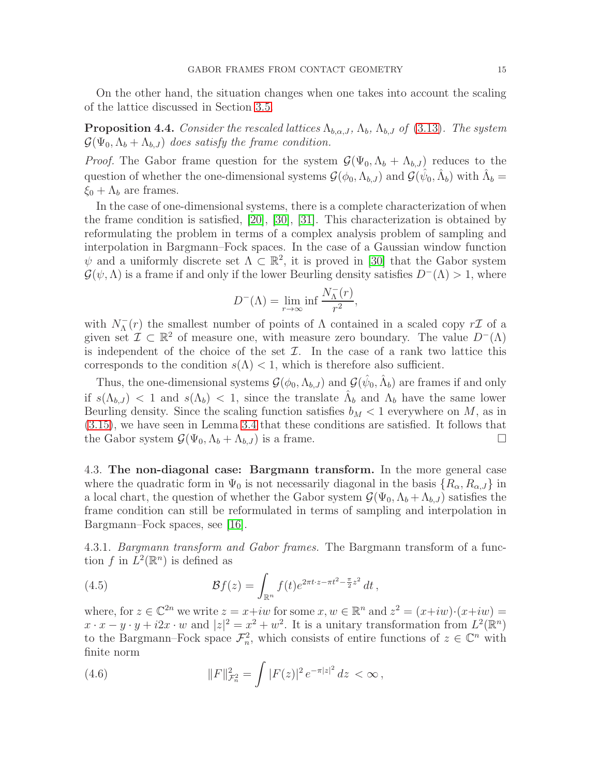On the other hand, the situation changes when one takes into account the scaling of the lattice discussed in Section [3.5.](#page-10-1)

<span id="page-14-1"></span>**Proposition 4.4.** Consider the rescaled lattices  $\Lambda_{b,\alpha,J}$ ,  $\Lambda_b$ ,  $\Lambda_{b,J}$  of [\(3.13\)](#page-10-2). The system  $\mathcal{G}(\Psi_0, \Lambda_b + \Lambda_{b,J})$  does satisfy the frame condition.

*Proof.* The Gabor frame question for the system  $\mathcal{G}(\Psi_0, \Lambda_b + \Lambda_{b,J})$  reduces to the question of whether the one-dimensional systems  $\mathcal{G}(\phi_0, \Lambda_{b,J})$  and  $\mathcal{G}(\hat{\psi}_0, \hat{\Lambda}_b)$  with  $\hat{\Lambda}_b =$  $\xi_0 + \Lambda_b$  are frames.

In the case of one-dimensional systems, there is a complete characterization of when the frame condition is satisfied, [\[20\]](#page-27-8), [\[30\]](#page-27-7), [\[31\]](#page-27-10). This characterization is obtained by reformulating the problem in terms of a complex analysis problem of sampling and interpolation in Bargmann–Fock spaces. In the case of a Gaussian window function  $\psi$  and a uniformly discrete set  $\Lambda \subset \mathbb{R}^2$ , it is proved in [\[30\]](#page-27-7) that the Gabor system  $\mathcal{G}(\psi,\Lambda)$  is a frame if and only if the lower Beurling density satisfies  $D^{-}(\Lambda) > 1$ , where

$$
D^{-}(\Lambda) = \lim_{r \to \infty} \inf \frac{N_{\Lambda}^{-}(r)}{r^2},
$$

with  $N_{\Lambda}^-(r)$  the smallest number of points of  $\Lambda$  contained in a scaled copy  $r\mathcal{I}$  of a given set  $\mathcal{I} \subset \mathbb{R}^2$  of measure one, with measure zero boundary. The value  $D^{-}(\Lambda)$ is independent of the choice of the set  $\mathcal{I}$ . In the case of a rank two lattice this corresponds to the condition  $s(\Lambda) < 1$ , which is therefore also sufficient.

Thus, the one-dimensional systems  $\mathcal{G}(\phi_0, \Lambda_{b,J})$  and  $\mathcal{G}(\hat{\psi}_0, \hat{\Lambda}_b)$  are frames if and only if  $s(\Lambda_{b,J})$  < 1 and  $s(\Lambda_b)$  < 1, since the translate  $\hat{\Lambda}_b$  and  $\Lambda_b$  have the same lower Beurling density. Since the scaling function satisfies  $b_M < 1$  everywhere on M, as in [\(3.15\)](#page-11-1), we have seen in Lemma [3.4](#page-10-3) that these conditions are satisfied. It follows that the Gabor system  $\mathcal{G}(\Psi_0, \Lambda_b + \Lambda_{b,J})$  is a frame.

4.3. The non-diagonal case: Bargmann transform. In the more general case where the quadratic form in  $\Psi_0$  is not necessarily diagonal in the basis  $\{R_\alpha, R_{\alpha, J}\}\$ in a local chart, the question of whether the Gabor system  $\mathcal{G}(\Psi_0, \Lambda_b + \Lambda_{b,J})$  satisfies the frame condition can still be reformulated in terms of sampling and interpolation in Bargmann–Fock spaces, see [\[16\]](#page-27-6).

4.3.1. Bargmann transform and Gabor frames. The Bargmann transform of a function f in  $\mathring{L}^2(\mathbb{R}^n)$  is defined as

<span id="page-14-0"></span>(4.5) 
$$
\mathcal{B}f(z) = \int_{\mathbb{R}^n} f(t)e^{2\pi t \cdot z - \pi t^2 - \frac{\pi}{2}z^2} dt,
$$

where, for  $z \in \mathbb{C}^{2n}$  we write  $z = x + iw$  for some  $x, w \in \mathbb{R}^n$  and  $z^2 = (x + iw) \cdot (x + iw) =$  $x \cdot x - y \cdot y + i2x \cdot w$  and  $|z|^2 = x^2 + w^2$ . It is a unitary transformation from  $L^2(\mathbb{R}^n)$ to the Bargmann–Fock space  $\mathcal{F}_n^2$ , which consists of entire functions of  $z \in \mathbb{C}^n$  with finite norm

(4.6) 
$$
||F||_{\mathcal{F}_n^2}^2 = \int |F(z)|^2 e^{-\pi |z|^2} dz < \infty,
$$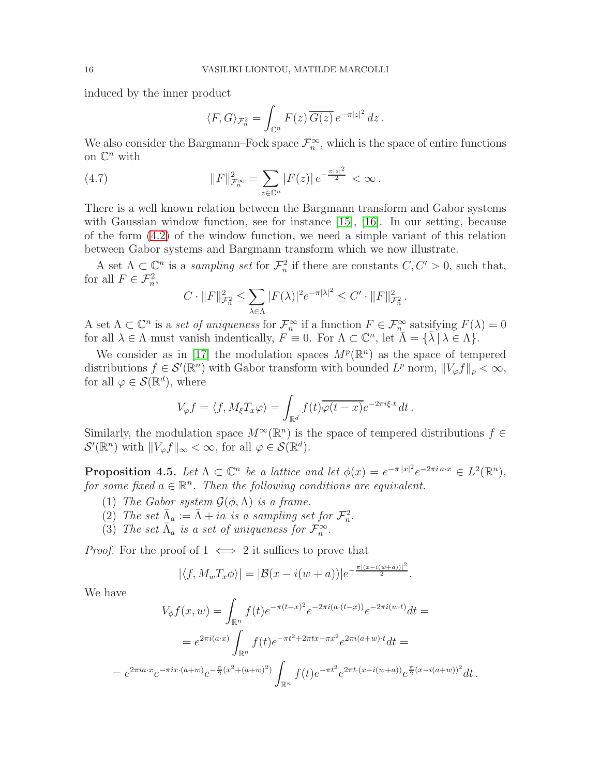induced by the inner product

$$
\langle F, G \rangle_{\mathcal{F}_n^2} = \int_{\mathbb{C}^n} F(z) \, \overline{G(z)} \, e^{-\pi |z|^2} \, dz \, .
$$

We also consider the Bargmann–Fock space  $\mathcal{F}_n^{\infty}$ , which is the space of entire functions on  $\mathbb{C}^n$  with

(4.7) 
$$
||F||_{\mathcal{F}_n^{\infty}}^2 = \sum_{z \in \mathbb{C}^n} |F(z)| e^{-\frac{\pi |z|^2}{2}} < \infty.
$$

There is a well known relation between the Bargmann transform and Gabor systems with Gaussian window function, see for instance [\[15\]](#page-27-11), [\[16\]](#page-27-6). In our setting, because of the form [\(4.2\)](#page-12-0) of the window function, we need a simple variant of this relation between Gabor systems and Bargmann transform which we now illustrate.

A set  $\Lambda \subset \mathbb{C}^n$  is a *sampling set* for  $\mathcal{F}^2_n$  if there are constants  $C, C' > 0$ , such that, for all  $F \in \mathcal{F}_n^2$ ,

$$
C \cdot ||F||_{\mathcal{F}_n^2}^2 \le \sum_{\lambda \in \Lambda} |F(\lambda)|^2 e^{-\pi |\lambda|^2} \le C' \cdot ||F||_{\mathcal{F}_n^2}^2.
$$

A set  $\Lambda \subset \mathbb{C}^n$  is a set of uniqueness for  $\mathcal{F}_n^{\infty}$  if a function  $F \in \mathcal{F}_n^{\infty}$  satsifying  $F(\lambda) = 0$ for all  $\lambda \in \Lambda$  must vanish indentically,  $F \equiv 0$ . For  $\Lambda \subset \mathbb{C}^n$ , let  $\overline{\Lambda} = {\overline{\lambda} \mid \lambda \in \Lambda}$ .

We consider as in [\[17\]](#page-27-12) the modulation spaces  $M^p(\mathbb{R}^n)$  as the space of tempered distributions  $f \in \mathcal{S}'(\mathbb{R}^n)$  with Gabor transform with bounded  $L^p$  norm,  $||V_{\varphi}f||_p < \infty$ , for all  $\varphi \in \mathcal{S}(\mathbb{R}^d)$ , where

$$
V_{\varphi}f = \langle f, M_{\xi}T_x \varphi \rangle = \int_{\mathbb{R}^d} f(t) \overline{\varphi(t-x)} e^{-2\pi i \xi \cdot t} dt.
$$

Similarly, the modulation space  $M^{\infty}(\mathbb{R}^n)$  is the space of tempered distributions  $f \in$  $\mathcal{S}'(\mathbb{R}^n)$  with  $||V_{\varphi}f||_{\infty} < \infty$ , for all  $\varphi \in \mathcal{S}(\mathbb{R}^d)$ .

**Proposition 4.5.** Let  $\Lambda \subset \mathbb{C}^n$  be a lattice and let  $\phi(x) = e^{-\pi |x|^2} e^{-2\pi i a \cdot x} \in L^2(\mathbb{R}^n)$ , for some fixed  $a \in \mathbb{R}^n$ . Then the following conditions are equivalent.

- (1) The Gabor system  $\mathcal{G}(\phi,\Lambda)$  is a frame.
- (2) The set  $\bar{\Lambda}_a := \bar{\Lambda} + ia$  is a sampling set for  $\mathcal{F}_n^2$ .
- (3) The set  $\bar{\Lambda}_a$  is a set of uniqueness for  $\mathcal{F}_n^{\infty}$ .

*Proof.* For the proof of  $1 \iff 2$  it suffices to prove that

$$
|\langle f, M_w T_x \phi \rangle| = |\mathcal{B}(x - i(w+a))|e^{-\frac{\pi |(x-i(w+a))|^2}{2}}.
$$

We have

 $=$ 

$$
V_{\phi}f(x, w) = \int_{\mathbb{R}^n} f(t)e^{-\pi(t-x)^2}e^{-2\pi i(a \cdot (t-x))}e^{-2\pi i(w \cdot t)}dt =
$$
  

$$
= e^{2\pi i(a \cdot x)} \int_{\mathbb{R}^n} f(t)e^{-\pi t^2 + 2\pi tx - \pi x^2}e^{2\pi i(a+w)\cdot t}dt =
$$
  

$$
= e^{2\pi i a \cdot x}e^{-\pi ix \cdot (a+w)}e^{-\frac{\pi}{2}(x^2 + (a+w)^2)} \int_{\mathbb{R}^n} f(t)e^{-\pi t^2}e^{2\pi t \cdot (x - i(w+a))}e^{\frac{\pi}{2}(x - i(a+w))^2}dt.
$$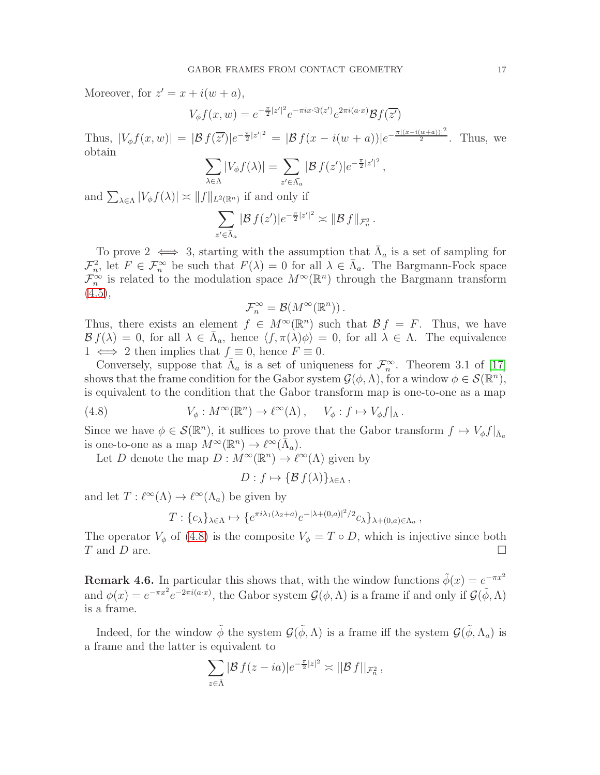Moreover, for  $z' = x + i(w + a)$ ,

$$
V_{\phi}f(x,w) = e^{-\frac{\pi}{2}|z'|^2}e^{-\pi ix\cdot\Im(z')}e^{2\pi i(a\cdot x)}\mathcal{B}f(\overline{z'})
$$

Thus,  $|V_{\phi}f(x,w)| = |\mathcal{B}f(\overline{z'})|e^{-\frac{\pi}{2}|z'|^2} = |\mathcal{B}f(x-i(w+a))|e^{-\frac{\pi|(x-i(w+a))|^2}{2}}$ . Thus, we obtain

$$
\sum_{\lambda \in \Lambda} |V_{\phi} f(\lambda)| = \sum_{z' \in \overline{\Lambda}_a} |\mathcal{B} f(z')| e^{-\frac{\pi}{2}|z'|^2},
$$

and  $\sum_{\lambda \in \Lambda} |V_{\phi} f(\lambda)| \asymp ||f||_{L^2(\mathbb{R}^n)}$  if and only if

$$
\sum_{z' \in \bar{\Lambda}_a} |\mathcal{B} f(z')| e^{-\frac{\pi}{2}|z'|^2} \asymp \|\mathcal{B} f\|_{\mathcal{F}_n^2}.
$$

To prove  $2 \iff 3$ , starting with the assumption that  $\bar{\Lambda}_a$  is a set of sampling for  $\mathcal{F}_n^2$ , let  $F \in \mathcal{F}_n^{\infty}$  be such that  $F(\lambda) = 0$  for all  $\lambda \in \bar{\Lambda}_a$ . The Bargmann-Fock space  $\mathcal{F}_{n}^{\infty}$  is related to the modulation space  $M^{\infty}(\mathbb{R}^{n})$  through the Bargmann transform  $(4.5),$  $(4.5),$ 

$$
\mathcal{F}^\infty_n=\mathcal{B}(M^\infty(\mathbb{R}^n))\,.
$$

Thus, there exists an element  $f \in M^{\infty}(\mathbb{R}^n)$  such that  $\mathcal{B} f = F$ . Thus, we have  $\mathcal{B} f(\lambda) = 0$ , for all  $\lambda \in \bar{\Lambda}_a$ , hence  $\langle f, \pi(\lambda)\phi \rangle = 0$ , for all  $\lambda \in \Lambda$ . The equivalence  $1 \iff 2$  then implies that  $f \equiv 0$ , hence  $F \equiv 0$ .

Conversely, suppose that  $\bar{\Lambda}_a$  is a set of uniqueness for  $\mathcal{F}_n^{\infty}$ . Theorem 3.1 of [\[17\]](#page-27-12) shows that the frame condition for the Gabor system  $\mathcal{G}(\phi,\Lambda)$ , for a window  $\phi \in \mathcal{S}(\mathbb{R}^n)$ , is equivalent to the condition that the Gabor transform map is one-to-one as a map

(4.8) 
$$
V_{\phi}: M^{\infty}(\mathbb{R}^n) \to \ell^{\infty}(\Lambda), \quad V_{\phi}: f \mapsto V_{\phi}f|_{\Lambda}.
$$

Since we have  $\phi \in \mathcal{S}(\mathbb{R}^n)$ , it suffices to prove that the Gabor transform  $f \mapsto V_{\phi}f|_{\bar{\Lambda}_a}$ is one-to-one as a map  $M^{\infty}(\mathbb{R}^n) \to \ell^{\infty}(\bar{\Lambda}_a)$ .

Let D denote the map  $D: M^{\infty}(\mathbb{R}^n) \to \ell^{\infty}(\Lambda)$  given by

<span id="page-16-0"></span> $D: f \mapsto {\mathcal{B} f(\lambda)}_{\lambda \in \Lambda}$ 

and let  $T: \ell^{\infty}(\Lambda) \to \ell^{\infty}(\Lambda_a)$  be given by

$$
T: \{c_{\lambda}\}_{\lambda \in \Lambda} \mapsto \{e^{\pi i \lambda_1(\lambda_2 + a)} e^{-|\lambda + (0, a)|^2/2} c_{\lambda}\}_{\lambda + (0, a) \in \Lambda_a},
$$

The operator  $V_{\phi}$  of [\(4.8\)](#page-16-0) is the composite  $V_{\phi} = T \circ D$ , which is injective since both  $T$  and  $D$  are. T and D are.

**Remark 4.6.** In particular this shows that, with the window functions  $\tilde{\phi}(x) = e^{-\pi x^2}$ and  $\phi(x) = e^{-\pi x^2} e^{-2\pi i (a \cdot x)}$ , the Gabor system  $\mathcal{G}(\phi, \Lambda)$  is a frame if and only if  $\mathcal{G}(\tilde{\phi}, \Lambda)$ is a frame.

Indeed, for the window  $\tilde{\phi}$  the system  $\mathcal{G}(\tilde{\phi}, \Lambda)$  is a frame iff the system  $\mathcal{G}(\tilde{\phi}, \Lambda_a)$  is a frame and the latter is equivalent to

$$
\sum_{z\in\bar{\Lambda}}|\mathcal{B} f(z-ia)|e^{-\frac{\pi}{2}|z|^2}\asymp||\mathcal{B} f||_{\mathcal{F}_n^2},
$$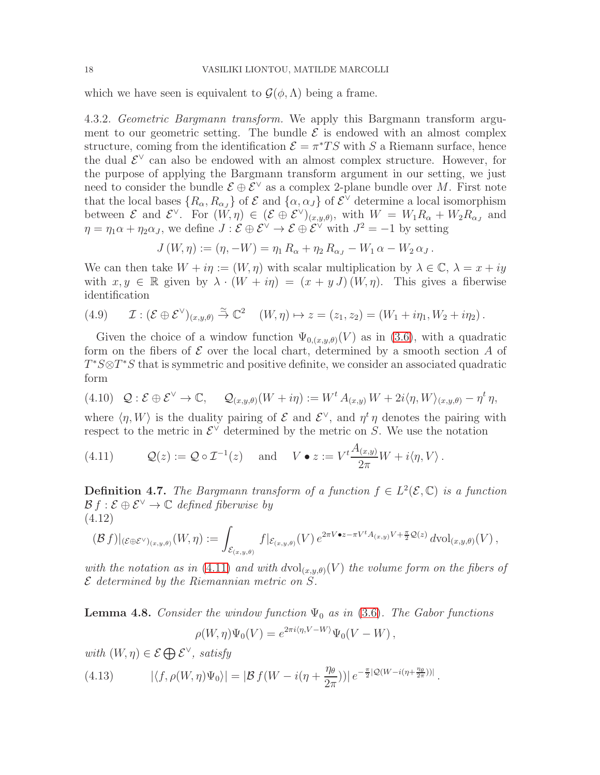which we have seen is equivalent to  $\mathcal{G}(\phi,\Lambda)$  being a frame.

4.3.2. Geometric Bargmann transform. We apply this Bargmann transform argument to our geometric setting. The bundle  $\mathcal E$  is endowed with an almost complex structure, coming from the identification  $\mathcal{E} = \pi^*TS$  with S a Riemann surface, hence the dual  $\mathcal{E}^{\vee}$  can also be endowed with an almost complex structure. However, for the purpose of applying the Bargmann transform argument in our setting, we just need to consider the bundle  $\mathcal{E} \oplus \mathcal{E}^{\vee}$  as a complex 2-plane bundle over M. First note that the local bases  $\{R_{\alpha}, R_{\alpha J}\}$  of  $\mathcal{E}$  and  $\{\alpha, \alpha J\}$  of  $\mathcal{E}^{\vee}$  determine a local isomorphism between  $\mathcal{E}$  and  $\mathcal{E}^{\vee}$ . For  $(W, \eta) \in (\mathcal{E} \oplus \mathcal{E}^{\vee})_{(x,y,\theta)}$ , with  $W = W_1 R_{\alpha} + W_2 R_{\alpha}$ , and  $\eta = \eta_1 \alpha + \eta_2 \alpha_J$ , we define  $J : \mathcal{E} \oplus \mathcal{E}^{\vee} \to \mathcal{E} \oplus \mathcal{E}^{\vee}$  with  $J^2 = -1$  by setting

$$
J(W, \eta) := (\eta, -W) = \eta_1 R_{\alpha} + \eta_2 R_{\alpha} - W_1 \alpha - W_2 \alpha \ldots
$$

We can then take  $W + i\eta := (W, \eta)$  with scalar multiplication by  $\lambda \in \mathbb{C}$ ,  $\lambda = x + iy$ with  $x, y \in \mathbb{R}$  given by  $\lambda \cdot (W + i\eta) = (x + y J)(W, \eta)$ . This gives a fiberwise identification

<span id="page-17-2"></span>(4.9) 
$$
\mathcal{I}: (\mathcal{E} \oplus \mathcal{E}^{\vee})_{(x,y,\theta)} \stackrel{\simeq}{\rightarrow} \mathbb{C}^2 \quad (W,\eta) \mapsto z = (z_1,z_2) = (W_1 + i\eta_1, W_2 + i\eta_2).
$$

Given the choice of a window function  $\Psi_{0,(x,y,\theta)}(V)$  as in [\(3.6\)](#page-8-2), with a quadratic form on the fibers of  $\mathcal E$  over the local chart, determined by a smooth section A of  $T^*S \otimes T^*S$  that is symmetric and positive definite, we consider an associated quadratic form

<span id="page-17-1"></span>
$$
(4.10) \quad \mathcal{Q}: \mathcal{E} \oplus \mathcal{E}^{\vee} \to \mathbb{C}, \qquad \mathcal{Q}_{(x,y,\theta)}(W + i\eta) := W^t A_{(x,y)} W + 2i \langle \eta, W \rangle_{(x,y,\theta)} - \eta^t \eta,
$$

where  $\langle \eta, W \rangle$  is the duality pairing of E and  $\mathcal{E}^{\vee}$ , and  $\eta^t \eta$  denotes the pairing with respect to the metric in  $\mathcal{E}^{\vee}$  determined by the metric on S. We use the notation

<span id="page-17-0"></span>(4.11) 
$$
Q(z) := Q \circ \mathcal{I}^{-1}(z)
$$
 and  $V \bullet z := V^t \frac{A_{(x,y)}}{2\pi} W + i \langle \eta, V \rangle$ .

**Definition 4.7.** The Bargmann transform of a function  $f \in L^2(\mathcal{E}, \mathbb{C})$  is a function  $\mathcal{B} f : \mathcal{E} \oplus \mathcal{E}^{\vee} \to \mathbb{C}$  defined fiberwise by (4.12)

<span id="page-17-4"></span>
$$
(\mathcal{B} f)|_{(\mathcal{E} \oplus \mathcal{E}^{\vee})_{(x,y,\theta)}}(W,\eta) := \int_{\mathcal{E}_{(x,y,\theta)}} f|_{\mathcal{E}_{(x,y,\theta)}}(V) e^{2\pi V \bullet z - \pi V^t A_{(x,y)}V + \frac{\pi}{2}\mathcal{Q}(z)} d\mathrm{vol}_{(x,y,\theta)}(V) ,
$$

with the notation as in [\(4.11\)](#page-17-0) and with  $dvol_{(x,y,\theta)}(V)$  the volume form on the fibers of  $\mathcal E$  determined by the Riemannian metric on  $S$ .

**Lemma 4.8.** Consider the window function  $\Psi_0$  as in [\(3.6\)](#page-8-2). The Gabor functions  $\rho(W, \eta)\Psi_0(V) = e^{2\pi i \langle \eta, V - W \rangle}\Psi_0(V - W),$ 

with  $(W, \eta) \in \mathcal{E} \bigoplus \mathcal{E}^{\vee}$ , satisfy

<span id="page-17-3"></span>(4.13) 
$$
|\langle f, \rho(W, \eta)\Psi_0\rangle| = |\mathcal{B} f(W - i(\eta + \frac{\eta_\theta}{2\pi}))| e^{-\frac{\pi}{2}|\mathcal{Q}(W - i(\eta + \frac{\eta_\theta}{2\pi}))|}.
$$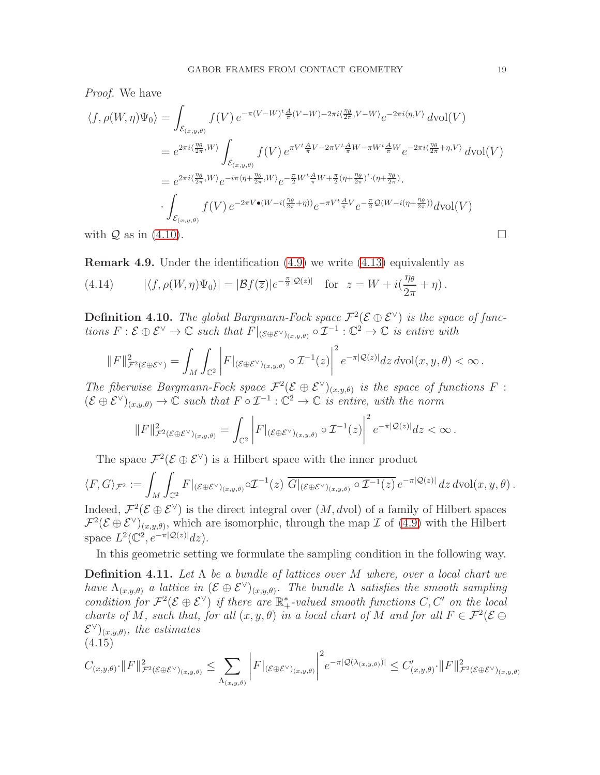Proof. We have

$$
\langle f, \rho(W, \eta)\Psi_0 \rangle = \int_{\mathcal{E}_{(x,y,\theta)}} f(V) e^{-\pi(V-W)^t \frac{A}{\pi}(V-W) - 2\pi i \langle \frac{\eta_{\theta}}{2\pi}, V-W \rangle} e^{-2\pi i \langle \eta, V \rangle} d\text{vol}(V)
$$
  
\n
$$
= e^{2\pi i \langle \frac{\eta_{\theta}}{2\pi}, W \rangle} \int_{\mathcal{E}_{(x,y,\theta)}} f(V) e^{\pi V^t \frac{A}{\pi}V - 2\pi V^t \frac{A}{\pi}W - \pi W^t \frac{A}{\pi}W} e^{-2\pi i \langle \frac{\eta_{\theta}}{2\pi} + \eta, V \rangle} d\text{vol}(V)
$$
  
\n
$$
= e^{2\pi i \langle \frac{\eta_{\theta}}{2\pi}, W \rangle} e^{-i\pi \langle \eta + \frac{\eta_{\theta}}{2\pi}, W \rangle} e^{-\frac{\pi}{2}W^t \frac{A}{\pi}W + \frac{\pi}{2}(\eta + \frac{\eta_{\theta}}{2\pi})^t \cdot (\eta + \frac{\eta_{\theta}}{2\pi})}.
$$
  
\n
$$
\cdot \int_{\mathcal{E}_{(x,y,\theta)}} f(V) e^{-2\pi V \bullet (W - i(\frac{\eta_{\theta}}{2\pi} + \eta))} e^{-\pi V^t \frac{A}{\pi}V} e^{-\frac{\pi}{2} \mathcal{Q}(W - i(\eta + \frac{\eta_{\theta}}{2\pi}))} d\text{vol}(V)
$$
  
\nwith  $\mathcal{Q}$  as in (4.10).

**Remark 4.9.** Under the identification  $(4.9)$  we write  $(4.13)$  equivalently as

<span id="page-18-0"></span>(4.14)  $|\langle f, \rho(W, \eta)\Psi_0\rangle| = |\mathcal{B}f(\overline{z})|e^{-\frac{\pi}{2}|\mathcal{Q}(z)|}$  for  $z = W + i(\frac{\eta}{2\pi})$  $2\pi$  $+ \eta$ ).

**Definition 4.10.** The global Bargmann-Fock space  $\mathcal{F}^2(\mathcal{E} \oplus \mathcal{E}^{\vee})$  is the space of functions  $F: \mathcal{E} \oplus \mathcal{E}^{\vee} \to \mathbb{C}$  such that  $F|_{(\mathcal{E} \oplus \mathcal{E}^{\vee})_{(x,y,\theta)}} \circ \mathcal{I}^{-1}: \mathbb{C}^2 \to \mathbb{C}$  is entire with

$$
\|F\|_{\mathcal{F}^2(\mathcal{E}\oplus\mathcal{E}^\vee)}^2 = \int_M \int_{\mathbb{C}^2} \left|F|_{(\mathcal{E}\oplus\mathcal{E}^\vee)_{(x,y,\theta)}} \circ \mathcal{I}^{-1}(z)\right|^2 e^{-\pi |\mathcal{Q}(z)|} dz \, d\text{vol}(x,y,\theta) < \infty.
$$

The fiberwise Bargmann-Fock space  $\mathcal{F}^2(\mathcal{E} \oplus \mathcal{E}^{\vee})_{(x,y,\theta)}$  is the space of functions F:  $(\mathcal{E} \oplus \mathcal{E}^{\vee})_{(x,y,\theta)} \to \mathbb{C}$  such that  $F \circ \mathcal{I}^{-1} : \mathbb{C}^2 \to \mathbb{C}$  is entire, with the norm

$$
||F||_{\mathcal{F}^{2}(\mathcal{E}\oplus\mathcal{E}^{\vee})_{(x,y,\theta)}}^{2} = \int_{\mathbb{C}^{2}} \left| F|_{(\mathcal{E}\oplus\mathcal{E}^{\vee})_{(x,y,\theta)}} \circ \mathcal{I}^{-1}(z) \right|^{2} e^{-\pi |\mathcal{Q}(z)|} dz < \infty.
$$

The space  $\mathcal{F}^2(\mathcal{E} \oplus \mathcal{E}^{\vee})$  is a Hilbert space with the inner product

$$
\langle F, G \rangle_{\mathcal{F}^2} := \int_M \int_{\mathbb{C}^2} F|_{(\mathcal{E} \oplus \mathcal{E}^{\vee})_{(x,y,\theta)}} \circ \mathcal{I}^{-1}(z) \, \overline{G|_{(\mathcal{E} \oplus \mathcal{E}^{\vee})_{(x,y,\theta)}} \circ \mathcal{I}^{-1}(z)} \, e^{-\pi |\mathcal{Q}(z)|} \, dz \, d\text{vol}(x, y, \theta) \, .
$$

Indeed,  $\mathcal{F}^2(\mathcal{E} \oplus \mathcal{E}^{\vee})$  is the direct integral over  $(M, dvol)$  of a family of Hilbert spaces  $\mathcal{F}^2(\mathcal{E} \oplus \mathcal{E}^{\vee})_{(x,y,\theta)}$ , which are isomorphic, through the map  $\mathcal{I}$  of [\(4.9\)](#page-17-2) with the Hilbert space  $L^2(\mathbb{C}^2, e^{-\pi |\mathcal{Q}(z)|}dz)$ .

In this geometric setting we formulate the sampling condition in the following way.

<span id="page-18-1"></span>**Definition 4.11.** Let  $\Lambda$  be a bundle of lattices over M where, over a local chart we have  $\Lambda_{(x,y,\theta)}$  a lattice in  $(\mathcal{E} \oplus \mathcal{E}^{\vee})_{(x,y,\theta)}$ . The bundle  $\Lambda$  satisfies the smooth sampling condition for  $\mathcal{F}^2(\mathcal{E} \oplus \mathcal{E}^{\vee})$  if there are  $\mathbb{R}_+^*$ -valued smooth functions C, C' on the local charts of M, such that, for all  $(x, y, \theta)$  in a local chart of M and for all  $F \in \mathcal{F}^2(\mathcal{E} \oplus$  $\mathcal{E}^{\vee}|_{(x,y,\theta)}$ , the estimates (4.15)

$$
C_{(x,y,\theta)}\cdot ||F||_{\mathcal{F}^{2}(\mathcal{E}\oplus\mathcal{E}^{\vee})(x,y,\theta)}^{2} \leq \sum_{\Lambda(x,y,\theta)} \left| F|_{(\mathcal{E}\oplus\mathcal{E}^{\vee})(x,y,\theta)} \right|^{2} e^{-\pi |\mathcal{Q}(\lambda(x,y,\theta))|} \leq C'_{(x,y,\theta)}\cdot ||F||_{\mathcal{F}^{2}(\mathcal{E}\oplus\mathcal{E}^{\vee})(x,y,\theta)}^{2}
$$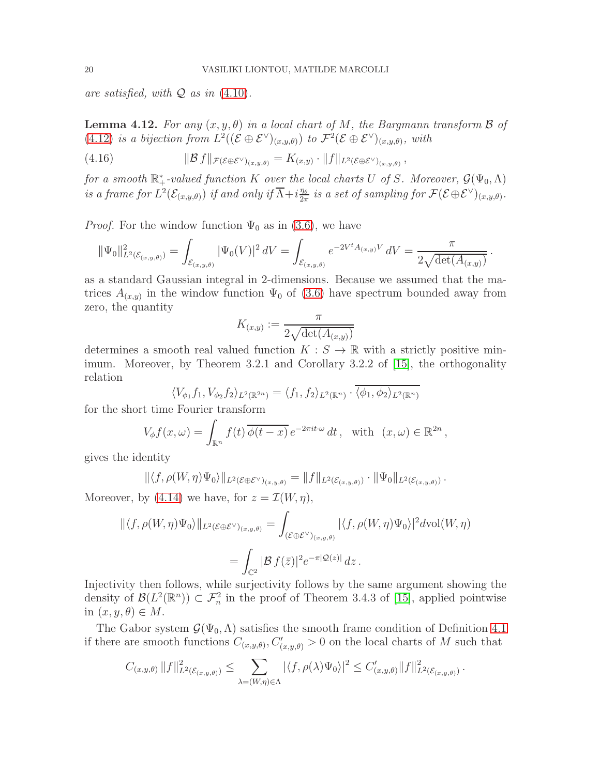are satisfied, with  $Q$  as in  $(4.10)$ .

<span id="page-19-0"></span>**Lemma 4.12.** For any  $(x, y, \theta)$  in a local chart of M, the Bargmann transform  $\beta$  of [\(4.12\)](#page-17-4) is a bijection from  $L^2((\mathcal{E} \oplus \mathcal{E}^{\vee})_{(x,y,\theta)})$  to  $\mathcal{F}^2(\mathcal{E} \oplus \mathcal{E}^{\vee})_{(x,y,\theta)}$ , with

$$
(4.16) \t\t\t ||\mathcal{B} f||_{\mathcal{F}(\mathcal{E} \oplus \mathcal{E}^{\vee})_{(x,y,\theta)}} = K_{(x,y)} \cdot ||f||_{L^{2}(\mathcal{E} \oplus \mathcal{E}^{\vee})_{(x,y,\theta)}},
$$

for a smooth  $\mathbb{R}_+^*$ -valued function K over the local charts U of S. Moreover,  $\mathcal{G}(\Psi_0,\Lambda)$ is a frame for  $L^2(\mathcal{E}_{(x,y,\theta)})$  if and only if  $\overline{\Lambda}+i\frac{\eta_\theta}{2\pi}$  $\frac{\eta_\theta}{2\pi}$  is a set of sampling for  $\mathcal{F}(\mathcal{E}\oplus\mathcal{E}^{\vee})_{(x,y,\theta)}$ .

*Proof.* For the window function  $\Psi_0$  as in [\(3.6\)](#page-8-2), we have

$$
\|\Psi_0\|_{L^2(\mathcal{E}_{(x,y,\theta)})}^2 = \int_{\mathcal{E}_{(x,y,\theta)}} |\Psi_0(V)|^2 \, dV = \int_{\mathcal{E}_{(x,y,\theta)}} e^{-2V^t A_{(x,y)}V} \, dV = \frac{\pi}{2\sqrt{\det(A_{(x,y)})}}.
$$

as a standard Gaussian integral in 2-dimensions. Because we assumed that the matrices  $A_{(x,y)}$  in the window function  $\Psi_0$  of [\(3.6\)](#page-8-2) have spectrum bounded away from zero, the quantity

$$
K_{(x,y)} := \frac{\pi}{2\sqrt{\det(A_{(x,y)})}}
$$

determines a smooth real valued function  $K : S \to \mathbb{R}$  with a strictly positive minimum. Moreover, by Theorem 3.2.1 and Corollary 3.2.2 of [\[15\]](#page-27-11), the orthogonality relation

$$
\langle V_{\phi_1} f_1, V_{\phi_2} f_2 \rangle_{L^2(\mathbb{R}^{2n})} = \langle f_1, f_2 \rangle_{L^2(\mathbb{R}^n)} \cdot \overline{\langle \phi_1, \phi_2 \rangle_{L^2(\mathbb{R}^n)}}
$$

for the short time Fourier transform

$$
V_{\phi}f(x,\omega) = \int_{\mathbb{R}^n} f(t) \, \overline{\phi(t-x)} \, e^{-2\pi it \cdot \omega} \, dt \,, \text{ with } (x,\omega) \in \mathbb{R}^{2n} \,,
$$

gives the identity

$$
\| \langle f, \rho(W, \eta) \Psi_0 \rangle \|_{L^2(\mathcal{E} \oplus \mathcal{E}^{\vee})_{(x,y,\theta)}} = \| f \|_{L^2(\mathcal{E}_{(x,y,\theta)})} \cdot \| \Psi_0 \|_{L^2(\mathcal{E}_{(x,y,\theta)})} \, .
$$

Moreover, by [\(4.14\)](#page-18-0) we have, for  $z = \mathcal{I}(W, \eta)$ ,

$$
\langle f, \rho(W, \eta) \Psi_0 \rangle \|_{L^2(\mathcal{E} \oplus \mathcal{E}^{\vee})_{(x,y,\theta)}} = \int_{(\mathcal{E} \oplus \mathcal{E}^{\vee})_{(x,y,\theta)}} |\langle f, \rho(W, \eta) \Psi_0 \rangle|^2 d\text{vol}(W, \eta)
$$

$$
= \int_{\mathbb{C}^2} |\mathcal{B} f(\bar{z})|^2 e^{-\pi |\mathcal{Q}(z)|} dz.
$$

Injectivity then follows, while surjectivity follows by the same argument showing the density of  $\mathcal{B}(L^2(\mathbb{R}^n)) \subset \mathcal{F}_n^2$  in the proof of Theorem 3.4.3 of [\[15\]](#page-27-11), applied pointwise in  $(x, y, \theta) \in M$ .

The Gabor system  $\mathcal{G}(\Psi_0,\Lambda)$  satisfies the smooth frame condition of Definition [4.1](#page-12-1) if there are smooth functions  $C_{(x,y,\theta)}, C'_{(x,y,\theta)} > 0$  on the local charts of M such that

$$
C_{(x,y,\theta)} \|f\|^2_{L^2(\mathcal{E}_{(x,y,\theta)})} \leq \sum_{\lambda=(W,\eta)\in\Lambda} |\langle f,\rho(\lambda)\Psi_0\rangle|^2 \leq C'_{(x,y,\theta)} \|f\|^2_{L^2(\mathcal{E}_{(x,y,\theta)})}.
$$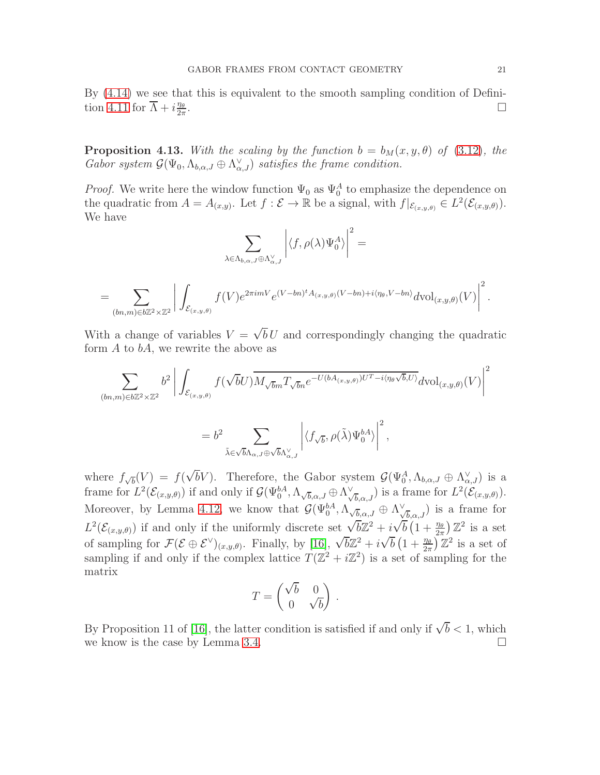By [\(4.14\)](#page-18-0) we see that this is equivalent to the smooth sampling condition of Defini-tion [4.11](#page-18-1) for  $\overline{\Lambda} + i \frac{\eta_{\theta}}{2\pi}$  $2\pi$ .

<span id="page-20-0"></span>**Proposition 4.13.** With the scaling by the function  $b = b<sub>M</sub>(x, y, \theta)$  of [\(3.12\)](#page-10-0), the Gabor system  $\mathcal{G}(\Psi_0, \Lambda_{b,\alpha,J} \oplus \Lambda_{\alpha,J}^{\vee})$  satisfies the frame condition.

*Proof.* We write here the window function  $\Psi_0$  as  $\Psi_0^A$  to emphasize the dependence on the quadratic from  $A = A_{(x,y)}$ . Let  $f : \mathcal{E} \to \mathbb{R}$  be a signal, with  $f|_{\mathcal{E}_{(x,y,\theta)}} \in L^2(\mathcal{E}_{(x,y,\theta)}).$ We have

$$
\sum_{\lambda \in \Lambda_{b,\alpha,J} \oplus \Lambda_{\alpha,J}^{\vee}} \left| \langle f, \rho(\lambda) \Psi_0^A \rangle \right|^2 =
$$
  
= 
$$
\sum_{(bn,m) \in b\mathbb{Z}^2 \times \mathbb{Z}^2} \left| \int_{\mathcal{E}_{(x,y,\theta)}} f(V) e^{2\pi i mV} e^{(V-bn)^t A_{(x,y,\theta)}(V-bn) + i \langle \eta_{\theta}, V-bn \rangle} d\mathrm{vol}_{(x,y,\theta)}(V) \right|^2.
$$

With a change of variables  $V = \sqrt{b} U$  and correspondingly changing the quadratic form  $A$  to  $bA$ , we rewrite the above as

$$
\sum_{(bn,m)\in b\mathbb{Z}^2\times\mathbb{Z}^2} b^2 \left| \int_{\mathcal{E}_{(x,y,\theta)}} f(\sqrt{b}U) \overline{M_{\sqrt{b}m}T_{\sqrt{b}n}} e^{-U(bA_{(x,y,\theta)})U^T - i\langle \eta_{\theta}\sqrt{b},U\rangle} d\text{vol}_{(x,y,\theta)}(V) \right|^2
$$

$$
= b^2 \sum_{\tilde{\lambda} \in \sqrt{b} \Lambda_{\alpha,J} \oplus \sqrt{b} \Lambda_{\alpha,J}^{\vee}} \left| \langle f_{\sqrt{b}}, \rho(\tilde{\lambda}) \Psi_0^{bA} \rangle \right|^2,
$$

where  $f_{\sqrt{b}}(V) = f(\sqrt{b}V)$ . Therefore, the Gabor system  $\mathcal{G}(\Psi_0^A, \Lambda_{b,\alpha,J} \oplus \Lambda_{\alpha,J}^{\vee})$  is a frame for  $L^2(\mathcal{E}_{(x,y,\theta)})$  if and only if  $\mathcal{G}(\Psi_0^{bA}, \Lambda_{\sqrt{b}, \alpha, J} \oplus \Lambda_{\sqrt{b}, \alpha, J}^{\vee})$  is a frame for  $L^2(\mathcal{E}_{(x,y,\theta)})$ . Moreover, by Lemma [4.12,](#page-19-0) we know that  $\mathcal{G}(\Psi_0^{bA}, \Lambda_{\sqrt{b}, \alpha, J} \oplus \Lambda_{\sqrt{b}, \alpha, J}^{\vee})$  is a frame for  $L^2(\mathcal{E}_{(x,y,\theta)})$  if and only if the uniformly discrete set  $\sqrt{b}\mathbb{Z}^2 + i\sqrt{b}\left(1+\frac{\eta_{\theta}}{2\pi}\right)\mathbb{Z}^2$  is a set of sampling for  $\mathcal{F}(\mathcal{E} \oplus \mathcal{E}^{\vee})_{(x,y,\theta)}$ . Finally, by [\[16\]](#page-27-6),  $\sqrt{b}\mathbb{Z}^2 + i\sqrt{b}\left(1 + \frac{\eta_{\theta}}{2\pi}\right)\mathbb{Z}^2$  is a set of sampling if and only if the complex lattice  $T(\mathbb{Z}^2 + i\mathbb{Z}^2)$  is a set of sampling for the matrix

$$
T = \begin{pmatrix} \sqrt{b} & 0 \\ 0 & \sqrt{b} \end{pmatrix} \, .
$$

By Proposition 11 of [\[16\]](#page-27-6), the latter condition is satisfied if and only if  $\sqrt{b} < 1$ , which we know is the case by Lemma [3.4.](#page-10-3)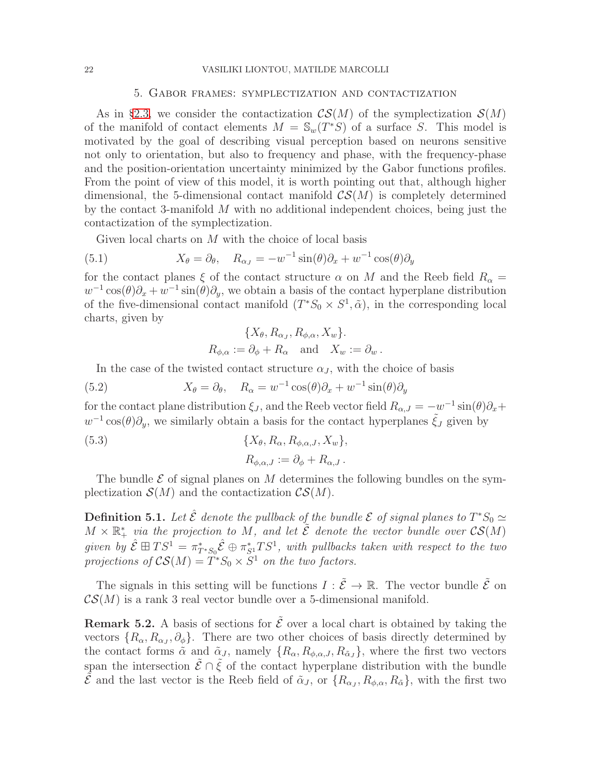#### 22 VASILIKI LIONTOU, MATILDE MARCOLLI

## 5. Gabor frames: symplectization and contactization

As in §[2.3,](#page-3-4) we consider the contactization  $\mathcal{CS}(M)$  of the symplectization  $\mathcal{S}(M)$ of the manifold of contact elements  $M = \mathbb{S}_{w}(T^{*}S)$  of a surface S. This model is motivated by the goal of describing visual perception based on neurons sensitive not only to orientation, but also to frequency and phase, with the frequency-phase and the position-orientation uncertainty minimized by the Gabor functions profiles. From the point of view of this model, it is worth pointing out that, although higher dimensional, the 5-dimensional contact manifold  $\mathcal{CS}(M)$  is completely determined by the contact 3-manifold M with no additional independent choices, being just the contactization of the symplectization.

Given local charts on M with the choice of local basis

(5.1) 
$$
X_{\theta} = \partial_{\theta}, \quad R_{\alpha_J} = -w^{-1}\sin(\theta)\partial_x + w^{-1}\cos(\theta)\partial_y
$$

for the contact planes  $\xi$  of the contact structure  $\alpha$  on M and the Reeb field  $R_{\alpha} =$  $w^{-1}\cos(\theta)\partial_x + w^{-1}\sin(\theta)\partial_y$ , we obtain a basis of the contact hyperplane distribution of the five-dimensional contact manifold  $(T^*S_0 \times S^1, \tilde{\alpha})$ , in the corresponding local charts, given by

<span id="page-21-0"></span>
$$
\{X_{\theta}, R_{\alpha_J}, R_{\phi,\alpha}, X_w\}.
$$
  

$$
R_{\phi,\alpha} := \partial_{\phi} + R_{\alpha} \text{ and } X_w := \partial_w.
$$

In the case of the twisted contact structure  $\alpha_J$ , with the choice of basis

(5.2) 
$$
X_{\theta} = \partial_{\theta}, \quad R_{\alpha} = w^{-1} \cos(\theta) \partial_{x} + w^{-1} \sin(\theta) \partial_{y}
$$

for the contact plane distribution  $\xi_J$ , and the Reeb vector field  $R_{\alpha,J} = -w^{-1}\sin(\theta)\partial_x +$  $w^{-1}\cos(\theta)\partial_y$ , we similarly obtain a basis for the contact hyperplanes  $\tilde{\xi}_J$  given by

(5.3) 
$$
\{X_{\theta}, R_{\alpha}, R_{\phi,\alpha,J}, X_w\},
$$

$$
R_{\phi,\alpha,J} := \partial_{\phi} + R_{\alpha,J}.
$$

The bundle  $\mathcal E$  of signal planes on M determines the following bundles on the symplectization  $\mathcal{S}(M)$  and the contactization  $\mathcal{CS}(M)$ .

**Definition 5.1.** Let  $\hat{\mathcal{E}}$  denote the pullback of the bundle  $\mathcal{E}$  of signal planes to  $T^*S_0 \simeq$  $M \times \mathbb{R}^*_+$  via the projection to M, and let  $\tilde{\mathcal{E}}$  denote the vector bundle over  $\mathcal{CS}(M)$ given by  $\hat{\mathcal{E}} \boxplus TS^1 = \pi^*_{T^*S_0} \hat{\mathcal{E}} \oplus \pi^*_{S^1} TS^1$ , with pullbacks taken with respect to the two projections of  $\mathcal{CS}(M) = T^*S_0 \times S^1$  on the two factors.

The signals in this setting will be functions  $I : \tilde{\mathcal{E}} \to \mathbb{R}$ . The vector bundle  $\tilde{\mathcal{E}}$  on  $\mathcal{CS}(M)$  is a rank 3 real vector bundle over a 5-dimensional manifold.

**Remark 5.2.** A basis of sections for  $\tilde{\mathcal{E}}$  over a local chart is obtained by taking the vectors  $\{R_{\alpha}, R_{\alpha_J}, \partial_{\phi}\}\.$  There are two other choices of basis directly determined by the contact forms  $\tilde{\alpha}$  and  $\tilde{\alpha}_J$ , namely  $\{R_{\alpha}, R_{\phi,\alpha,J}, R_{\tilde{\alpha}J}\}\,$ , where the first two vectors span the intersection  $\tilde{\mathcal{E}} \cap \tilde{\mathcal{E}}$  of the contact hyperplane distribution with the bundle  $\tilde{\mathcal{E}}$  and the last vector is the Reeb field of  $\tilde{\alpha}_J$ , or  $\{R_{\alpha_J}, R_{\phi,\alpha}, R_{\tilde{\alpha}}\}$ , with the first two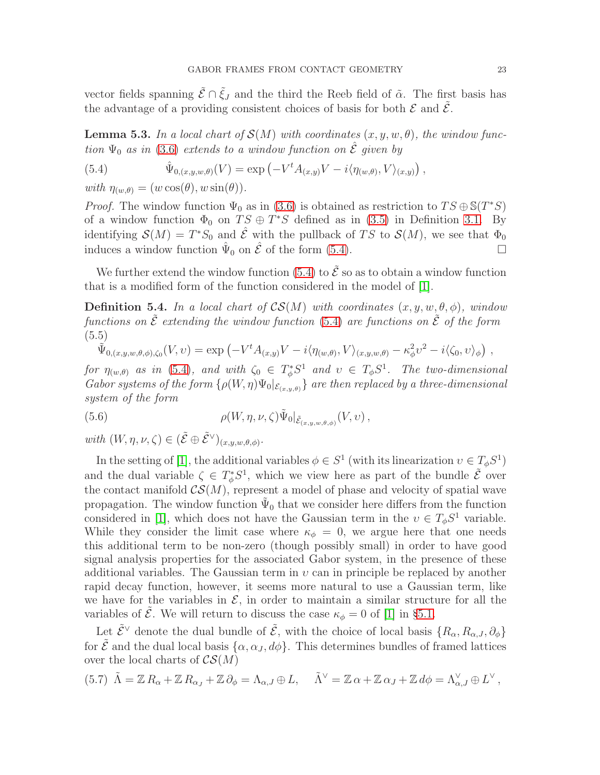vector fields spanning  $\tilde{\mathcal{E}} \cap \tilde{\mathcal{E}}_J$  and the third the Reeb field of  $\tilde{\alpha}$ . The first basis has the advantage of a providing consistent choices of basis for both  $\mathcal E$  and  $\tilde{\mathcal E}$ .

**Lemma 5.3.** In a local chart of  $\mathcal{S}(M)$  with coordinates  $(x, y, w, \theta)$ , the window function  $\Psi_0$  as in [\(3.6\)](#page-8-2) extends to a window function on  $\hat{\mathcal{E}}$  given by

<span id="page-22-0"></span>(5.4) 
$$
\hat{\Psi}_{0,(x,y,w,\theta)}(V) = \exp\left(-V^t A_{(x,y)}V - i\langle \eta_{(w,\theta)}, V \rangle_{(x,y)}\right),
$$

with  $\eta_{(w,\theta)} = (w \cos(\theta), w \sin(\theta)).$ 

*Proof.* The window function  $\Psi_0$  as in [\(3.6\)](#page-8-2) is obtained as restriction to  $TS \oplus \mathbb{S}(T^*S)$ of a window function  $\Phi_0$  on  $TS \oplus T^*S$  defined as in [\(3.5\)](#page-8-0) in Definition [3.1.](#page-8-3) By identifying  $\mathcal{S}(M) = T^*S_0$  and  $\hat{\mathcal{E}}$  with the pullback of TS to  $\mathcal{S}(M)$ , we see that  $\Phi_0$ induces a window function  $\hat{\Psi}_0$  on  $\hat{\mathcal{E}}$  of the form [\(5.4\)](#page-22-0).

We further extend the window function [\(5.4\)](#page-22-0) to  $\tilde{\mathcal{E}}$  so as to obtain a window function that is a modified form of the function considered in the model of [\[1\]](#page-26-0).

**Definition 5.4.** In a local chart of  $CS(M)$  with coordinates  $(x, y, w, \theta, \phi)$ , window functions on  $\tilde{\mathcal{E}}$  extending the window function [\(5.4\)](#page-22-0) are functions on  $\tilde{\mathcal{E}}$  of the form (5.5)

<span id="page-22-1"></span>
$$
\tilde{\Psi}_{0,(x,y,w,\theta,\phi),\zeta_0}(V,v) = \exp\left(-V^t A_{(x,y)}V - i\langle \eta_{(w,\theta)}, V \rangle_{(x,y,w,\theta)} - \kappa_{\phi}^2 v^2 - i\langle \zeta_0, v \rangle_{\phi}\right),
$$

for  $\eta_{(w,\theta)}$  as in [\(5.4\)](#page-22-0), and with  $\zeta_0 \in T^*_{\phi}S^1$  and  $v \in T_{\phi}S^1$ . The two-dimensional Gabor systems of the form  $\{\rho(W,\eta)\Psi_0|_{\mathcal{E}_{(x,y,\theta)}}\}$  are then replaced by a three-dimensional system of the form

(5.6) 
$$
\rho(W, \eta, \nu, \zeta) \tilde{\Psi}_0|_{\tilde{\mathcal{E}}_{(x,y,w,\theta,\phi)}}(V, v) ,
$$

with  $(W, \eta, \nu, \zeta) \in (\tilde{\mathcal{E}} \oplus \tilde{\mathcal{E}}^{\vee})_{(x,y,w,\theta,\phi)}$ .

In the setting of [\[1\]](#page-26-0), the additional variables  $\phi \in S^1$  (with its linearization  $v \in T_\phi S^1$ ) and the dual variable  $\zeta \in T^*_{\phi}S^1$ , which we view here as part of the bundle  $\tilde{\mathcal{E}}$  over the contact manifold  $\mathcal{CS}(M)$ , represent a model of phase and velocity of spatial wave propagation. The window function  $\tilde{\Psi}_0$  that we consider here differs from the function considered in [\[1\]](#page-26-0), which does not have the Gaussian term in the  $v \in T_{\phi}S^1$  variable. While they consider the limit case where  $\kappa_{\phi} = 0$ , we argue here that one needs this additional term to be non-zero (though possibly small) in order to have good signal analysis properties for the associated Gabor system, in the presence of these additional variables. The Gaussian term in  $\nu$  can in principle be replaced by another rapid decay function, however, it seems more natural to use a Gaussian term, like we have for the variables in  $\mathcal{E}$ , in order to maintain a similar structure for all the variables of  $\tilde{\mathcal{E}}$ . We will return to discuss the case  $\kappa_{\phi} = 0$  of [\[1\]](#page-26-0) in §[5.1.](#page-24-0)

Let  $\tilde{\mathcal{E}}^{\vee}$  denote the dual bundle of  $\tilde{\mathcal{E}}$ , with the choice of local basis  $\{R_{\alpha}, R_{\alpha J}, \partial_{\phi}\}\$ for  $\tilde{\mathcal{E}}$  and the dual local basis  $\{\alpha, \alpha_J, d\phi\}$ . This determines bundles of framed lattices over the local charts of  $\mathcal{CS}(M)$ 

(5.7) 
$$
\tilde{\Lambda} = \mathbb{Z} R_{\alpha} + \mathbb{Z} R_{\alpha J} + \mathbb{Z} \partial_{\phi} = \Lambda_{\alpha J} \oplus L, \quad \tilde{\Lambda}^{\vee} = \mathbb{Z} \alpha + \mathbb{Z} \alpha J + \mathbb{Z} d\phi = \Lambda^{\vee}_{\alpha J} \oplus L^{\vee},
$$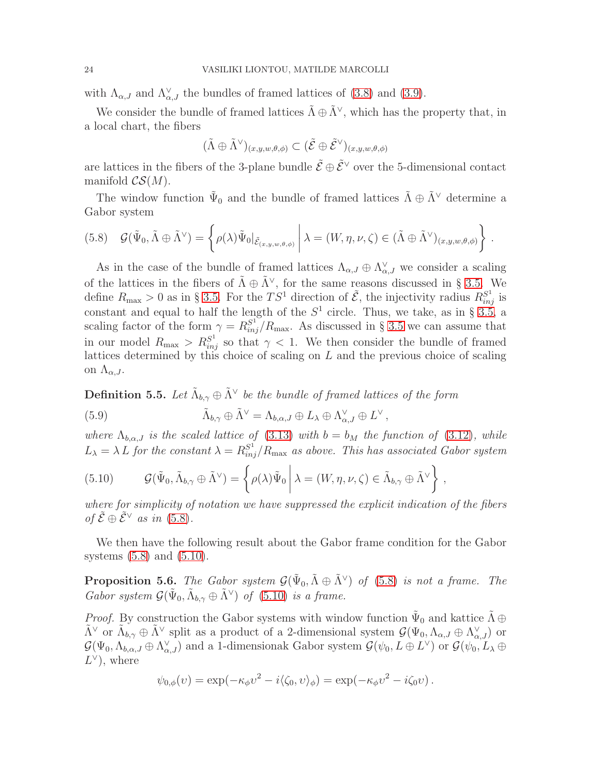with  $\Lambda_{\alpha,J}$  and  $\Lambda_{\alpha,J}^{\vee}$  the bundles of framed lattices of [\(3.8\)](#page-9-2) and [\(3.9\)](#page-9-3).

We consider the bundle of framed lattices  $\tilde{\Lambda} \oplus \tilde{\Lambda}^{\vee}$ , which has the property that, in a local chart, the fibers

$$
(\tilde{\Lambda} \oplus \tilde{\Lambda}^\vee)_{(x,y,w,\theta,\phi)} \subset (\tilde{\mathcal{E}} \oplus \tilde{\mathcal{E}}^\vee)_{(x,y,w,\theta,\phi)}
$$

are lattices in the fibers of the 3-plane bundle  $\tilde{\mathcal{E}} \oplus \tilde{\mathcal{E}}^{\vee}$  over the 5-dimensional contact manifold  $\mathcal{CS}(M)$ .

The window function  $\tilde{\Psi}_0$  and the bundle of framed lattices  $\tilde{\Lambda} \oplus \tilde{\Lambda}^{\vee}$  determine a Gabor system

<span id="page-23-0"></span>
$$
(5.8) \quad \mathcal{G}(\tilde{\Psi}_0, \tilde{\Lambda} \oplus \tilde{\Lambda}^{\vee}) = \left\{ \rho(\lambda) \tilde{\Psi}_0 |_{\tilde{\mathcal{E}}_{(x,y,w,\theta,\phi)}} \middle| \lambda = (W, \eta, \nu, \zeta) \in (\tilde{\Lambda} \oplus \tilde{\Lambda}^{\vee})_{(x,y,w,\theta,\phi)} \right\}.
$$

As in the case of the bundle of framed lattices  $\Lambda_{\alpha,J} \oplus \Lambda_{\alpha,J}^{\vee}$  we consider a scaling of the lattices in the fibers of  $\tilde{\Lambda} \oplus \tilde{\Lambda}^{\vee}$ , for the same reasons discussed in § [3.5.](#page-10-1) We define  $R_{\text{max}} > 0$  as in § [3.5.](#page-10-1) For the  $TS^1$  direction of  $\tilde{\mathcal{E}}$ , the injectivity radius  $R_{inj}^{S^1}$  is constant and equal to half the length of the  $S<sup>1</sup>$  circle. Thus, we take, as in § [3.5,](#page-10-1) a scaling factor of the form  $\gamma = R_{inj}^{S^1}/R_{\text{max}}$ . As discussed in § [3.5](#page-10-1) we can assume that in our model  $R_{\text{max}} > R_{inj}^{S^1}$  so that  $\gamma < 1$ . We then consider the bundle of framed lattices determined by this choice of scaling on  $L$  and the previous choice of scaling on  $\Lambda_{\alpha,J}$ .

<span id="page-23-2"></span>**Definition 5.5.** Let  $\tilde{\Lambda}_{b,\gamma} \oplus \tilde{\Lambda}^{\vee}$  be the bundle of framed lattices of the form

(5.9) 
$$
\tilde{\Lambda}_{b,\gamma} \oplus \tilde{\Lambda}^{\vee} = \Lambda_{b,\alpha,J} \oplus L_{\lambda} \oplus \Lambda^{\vee}_{\alpha,J} \oplus L^{\vee},
$$

where  $\Lambda_{b,\alpha,J}$  is the scaled lattice of [\(3.13\)](#page-10-2) with  $b = b_M$  the function of [\(3.12\)](#page-10-0), while  $L_{\lambda} = \lambda L$  for the constant  $\lambda = R_{inj}^{S^1}/R_{\text{max}}$  as above. This has associated Gabor system

<span id="page-23-1"></span>(5.10) 
$$
\mathcal{G}(\tilde{\Psi}_0, \tilde{\Lambda}_{b,\gamma} \oplus \tilde{\Lambda}^{\vee}) = \left\{ \rho(\lambda) \tilde{\Psi}_0 \middle| \lambda = (W, \eta, \nu, \zeta) \in \tilde{\Lambda}_{b,\gamma} \oplus \tilde{\Lambda}^{\vee} \right\},
$$

where for simplicity of notation we have suppressed the explicit indication of the fibers of  $\tilde{\mathcal{E}} \oplus \tilde{\mathcal{E}}^{\vee}$  as in [\(5.8\)](#page-23-0).

We then have the following result about the Gabor frame condition for the Gabor systems [\(5.8\)](#page-23-0) and [\(5.10\)](#page-23-1).

<span id="page-23-3"></span>**Proposition 5.6.** The Gabor system  $\mathcal{G}(\tilde{\Psi}_0, \tilde{\Lambda} \oplus \tilde{\Lambda}^{\vee})$  of [\(5.8\)](#page-23-0) is not a frame. The Gabor system  $\mathcal{G}(\tilde{\Psi}_0, \tilde{\Lambda}_{b,\gamma} \oplus \tilde{\Lambda}^{\vee})$  of [\(5.10\)](#page-23-1) is a frame.

*Proof.* By construction the Gabor systems with window function  $\tilde{\Psi}_0$  and kattice  $\tilde{\Lambda} \oplus \tilde{\chi}$  $\tilde{\Lambda}^{\vee}$  or  $\tilde{\Lambda}_{b,\gamma} \oplus \tilde{\Lambda}^{\vee}$  split as a product of a 2-dimensional system  $\mathcal{G}(\Psi_0, \Lambda_{\alpha,J} \oplus \Lambda_{\alpha,J}^{\vee})$  or  $\mathcal{G}(\Psi_0, \Lambda_{b,\alpha,J} \oplus \Lambda_{\alpha,J}^{\vee})$  and a 1-dimensionak Gabor system  $\mathcal{G}(\psi_0, L \oplus L^{\vee})$  or  $\mathcal{G}(\psi_0, L_{\lambda} \oplus L^{\vee})$  $L^{\vee}$ , where

$$
\psi_{0,\phi}(v) = \exp(-\kappa_{\phi}v^2 - i\langle \zeta_0, v \rangle_{\phi}) = \exp(-\kappa_{\phi}v^2 - i\zeta_0v).
$$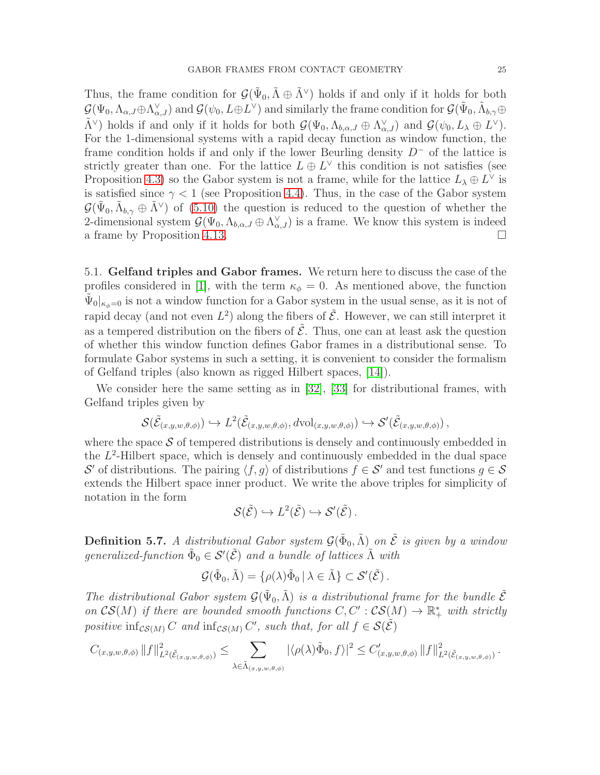Thus, the frame condition for  $\mathcal{G}(\tilde{\Psi}_0, \tilde{\Lambda} \oplus \tilde{\Lambda}^{\vee})$  holds if and only if it holds for both  $\mathcal{G}(\Psi_0, \Lambda_{\alpha,J} \oplus \Lambda_{\alpha,J}^{\vee}) \text{ and } \mathcal{G}(\psi_0, L \oplus L^{\vee}) \text{ and similarly the frame condition for } \mathcal{G}(\tilde{\Psi}_0, \tilde{\Lambda}_{b,\gamma} \oplus L^{\vee})$  $\tilde{\Lambda}^{\vee}$ ) holds if and only if it holds for both  $\mathcal{G}(\Psi_0, \Lambda_{b,\alpha,J} \oplus \Lambda_{\alpha,J}^{\vee})$  and  $\mathcal{G}(\psi_0, L_\lambda \oplus L^{\vee})$ . For the 1-dimensional systems with a rapid decay function as window function, the frame condition holds if and only if the lower Beurling density  $D^-$  of the lattice is strictly greater than one. For the lattice  $L \oplus L^{\vee}$  this condition is not satisfies (see Proposition [4.3\)](#page-13-0) so the Gabor system is not a frame, while for the lattice  $L_{\lambda} \oplus L^{\vee}$  is is satisfied since  $\gamma < 1$  (see Proposition [4.4\)](#page-14-1). Thus, in the case of the Gabor system  $\mathcal{G}(\tilde{\Psi}_0, \tilde{\Lambda}_{b,\gamma} \oplus \tilde{\Lambda}^{\vee})$  of [\(5.10\)](#page-23-1) the question is reduced to the question of whether the 2-dimensional system  $\mathcal{G}(\Psi_0, \Lambda_{b,\alpha,J} \oplus \Lambda_{\alpha,J}^{\vee})$  is a frame. We know this system is indeed a frame by Proposition [4.13.](#page-20-0)

<span id="page-24-0"></span>5.1. Gelfand triples and Gabor frames. We return here to discuss the case of the profiles considered in [\[1\]](#page-26-0), with the term  $\kappa_{\phi} = 0$ . As mentioned above, the function  $\tilde{\Psi}_0|_{\kappa_{\phi}=0}$  is not a window function for a Gabor system in the usual sense, as it is not of rapid decay (and not even  $L^2$ ) along the fibers of  $\tilde{\mathcal{E}}$ . However, we can still interpret it as a tempered distribution on the fibers of  $\tilde{\mathcal{E}}$ . Thus, one can at least ask the question of whether this window function defines Gabor frames in a distributional sense. To formulate Gabor systems in such a setting, it is convenient to consider the formalism of Gelfand triples (also known as rigged Hilbert spaces, [\[14\]](#page-27-13)).

We consider here the same setting as in [\[32\]](#page-27-14), [\[33\]](#page-27-15) for distributional frames, with Gelfand triples given by

$$
\mathcal{S}(\tilde{\mathcal{E}}_{(x,y,w,\theta,\phi)}) \hookrightarrow L^2(\tilde{\mathcal{E}}_{(x,y,w,\theta,\phi)}, d\text{vol}_{(x,y,w,\theta,\phi)}) \hookrightarrow \mathcal{S}'(\tilde{\mathcal{E}}_{(x,y,w,\theta,\phi)})
$$

where the space  $S$  of tempered distributions is densely and continuously embedded in the  $L^2$ -Hilbert space, which is densely and continuously embedded in the dual space S' of distributions. The pairing  $\langle f, g \rangle$  of distributions  $f \in \mathcal{S}'$  and test functions  $g \in \mathcal{S}$ extends the Hilbert space inner product. We write the above triples for simplicity of notation in the form

$$
\mathcal{S}(\tilde{\mathcal{E}}) \hookrightarrow L^2(\tilde{\mathcal{E}}) \hookrightarrow \mathcal{S}'(\tilde{\mathcal{E}}).
$$

**Definition 5.7.** A distributional Gabor system  $\mathcal{G}(\tilde{\Phi}_0, \tilde{\Lambda})$  on  $\tilde{\mathcal{E}}$  is given by a window generalized-function  $\tilde{\Phi}_0 \in \mathcal{S}'(\tilde{\mathcal{E}})$  and a bundle of lattices  $\tilde{\Lambda}$  with

$$
\mathcal{G}(\tilde{\Phi}_0, \tilde{\Lambda}) = \{ \rho(\lambda) \tilde{\Phi}_0 \, | \, \lambda \in \tilde{\Lambda} \} \subset \mathcal{S}'(\tilde{\mathcal{E}}).
$$

The distributional Gabor system  $\mathcal{G}(\tilde{\Psi}_0, \tilde{\Lambda})$  is a distributional frame for the bundle  $\tilde{\mathcal{E}}$ on  $\mathcal{CS}(M)$  if there are bounded smooth functions  $C, C': \mathcal{CS}(M) \to \mathbb{R}_+^*$  with strictly positive  $\inf_{\mathcal{CS}(M)} C$  and  $\inf_{\mathcal{CS}(M)} C'$ , such that, for all  $f \in \mathcal{S}(\tilde{\mathcal{E}})$ 

$$
C_{(x,y,w,\theta,\phi)}\|f\|_{L^2(\tilde{\mathcal{E}}_{(x,y,w,\theta,\phi)})}^2 \leq \sum_{\lambda \in \tilde{\Lambda}_{(x,y,w,\theta,\phi)}} |\langle \rho(\lambda)\tilde{\Phi}_0, f \rangle|^2 \leq C'_{(x,y,w,\theta,\phi)}\|f\|_{L^2(\tilde{\mathcal{E}}_{(x,y,w,\theta,\phi)})}^2.
$$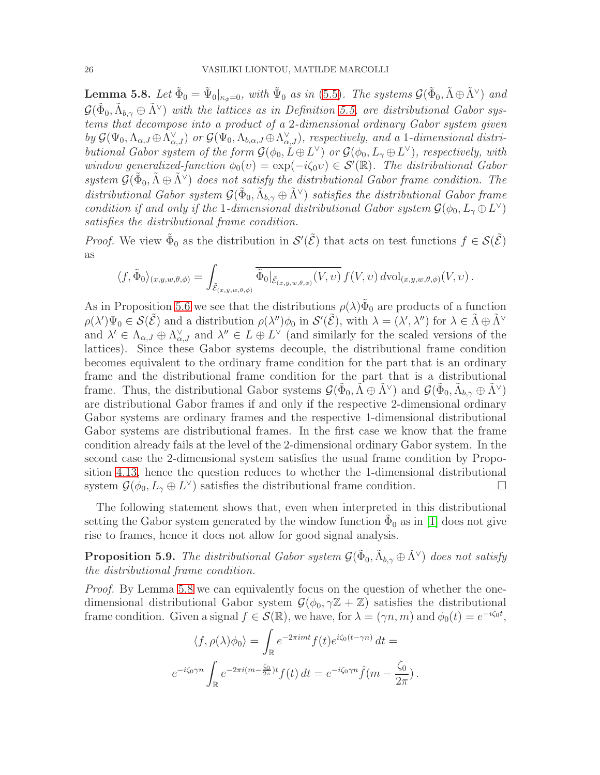<span id="page-25-0"></span>**Lemma 5.8.** Let  $\tilde{\Phi}_0 = \tilde{\Psi}_0|_{\kappa_{\phi}=0}$ , with  $\tilde{\Psi}_0$  as in [\(5.5\)](#page-22-1). The systems  $\mathcal{G}(\tilde{\Phi}_0, \tilde{\Lambda} \oplus \tilde{\Lambda}^{\vee})$  and  $\mathcal{G}(\tilde{\Phi}_0, \tilde{\Lambda}_{b,\gamma} \oplus \tilde{\Lambda}^{\vee})$  with the lattices as in Definition [5.5,](#page-23-2) are distributional Gabor systems that decompose into a product of a 2-dimensional ordinary Gabor system given by  $\mathcal{G}(\Psi_0, \Lambda_{\alpha,J} \oplus \Lambda_{\alpha,J}^{\vee})$  or  $\mathcal{G}(\Psi_0, \Lambda_{b,\alpha,J} \oplus \Lambda_{\alpha,J}^{\vee})$ , respectively, and a 1-dimensional distributional Gabor system of the form  $\mathcal{G}(\phi_0, L \oplus L^{\vee})$  or  $\mathcal{G}(\phi_0, L_{\gamma} \oplus L^{\vee})$ , respectively, with window generalized-function  $\phi_0(v) = \exp(-i\zeta_0 v) \in \mathcal{S}'(\mathbb{R})$ . The distributional Gabor system  $\mathcal{G}(\tilde{\Phi}_0, \tilde{\Lambda} \oplus \tilde{\Lambda}^{\vee})$  does not satisfy the distributional Gabor frame condition. The distributional Gabor system  $\mathcal{G}(\tilde{\Phi}_0, \tilde{\Lambda}_{b,\gamma} \oplus \tilde{\Lambda}^{\vee})$  satisfies the distributional Gabor frame condition if and only if the 1-dimensional distributional Gabor system  $\mathcal{G}(\phi_0, L_\gamma \oplus L^\vee)$ satisfies the distributional frame condition.

*Proof.* We view  $\tilde{\Phi}_0$  as the distribution in  $\mathcal{S}'(\tilde{\mathcal{E}})$  that acts on test functions  $f \in \mathcal{S}(\tilde{\mathcal{E}})$ as

$$
\langle f, \tilde{\Phi}_0 \rangle_{(x,y,w,\theta,\phi)} = \int_{\tilde{\mathcal{E}}_{(x,y,w,\theta,\phi)}} \overline{\tilde{\Phi}_0|_{\tilde{\mathcal{E}}_{(x,y,w,\theta,\phi)}}(V,v)} f(V,v) \, d\text{\rm vol}_{(x,y,w,\theta,\phi)}(V,v) .
$$

As in Proposition [5.6](#page-23-3) we see that the distributions  $\rho(\lambda)\tilde{\Phi}_0$  are products of a function  $\rho(\lambda')\Psi_0 \in \mathcal{S}(\tilde{\mathcal{E}})$  and a distribution  $\rho(\lambda'')\phi_0$  in  $\mathcal{S}'(\tilde{\mathcal{E}})$ , with  $\lambda = (\lambda', \lambda'')$  for  $\lambda \in \tilde{\Lambda} \oplus \tilde{\Lambda}^{\vee}$ and  $\lambda' \in \Lambda_{\alpha,J} \oplus \Lambda_{\alpha,J}^{\vee}$  and  $\lambda'' \in L \oplus L^{\vee}$  (and similarly for the scaled versions of the lattices). Since these Gabor systems decouple, the distributional frame condition becomes equivalent to the ordinary frame condition for the part that is an ordinary frame and the distributional frame condition for the part that is a distributional frame. Thus, the distributional Gabor systems  $\mathcal{G}(\tilde{\Phi}_0, \tilde{\Lambda} \oplus \tilde{\Lambda}^{\vee})$  and  $\mathcal{G}(\tilde{\Phi}_0, \tilde{\Lambda}_{b,\gamma} \oplus \tilde{\Lambda}^{\vee})$ are distributional Gabor frames if and only if the respective 2-dimensional ordinary Gabor systems are ordinary frames and the respective 1-dimensional distributional Gabor systems are distributional frames. In the first case we know that the frame condition already fails at the level of the 2-dimensional ordinary Gabor system. In the second case the 2-dimensional system satisfies the usual frame condition by Proposition [4.13,](#page-20-0) hence the question reduces to whether the 1-dimensional distributional system  $\mathcal{G}(\phi_0, L_\gamma \oplus L^\vee)$  satisfies the distributional frame condition.

The following statement shows that, even when interpreted in this distributional setting the Gabor system generated by the window function  $\tilde{\Phi}_0$  as in [\[1\]](#page-26-0) does not give rise to frames, hence it does not allow for good signal analysis.

**Proposition 5.9.** The distributional Gabor system  $\mathcal{G}(\tilde{\Phi}_0, \tilde{\Lambda}_{b,\gamma} \oplus \tilde{\Lambda}^{\vee})$  does not satisfy the distributional frame condition.

Proof. By Lemma [5.8](#page-25-0) we can equivalently focus on the question of whether the onedimensional distributional Gabor system  $\mathcal{G}(\phi_0, \gamma \mathbb{Z} + \mathbb{Z})$  satisfies the distributional frame condition. Given a signal  $f \in \mathcal{S}(\mathbb{R})$ , we have, for  $\lambda = (\gamma n, m)$  and  $\phi_0(t) = e^{-i\zeta_0 t}$ ,

$$
\langle f, \rho(\lambda)\phi_0 \rangle = \int_{\mathbb{R}} e^{-2\pi i m t} f(t) e^{i\zeta_0(t-\gamma n)} dt =
$$
  

$$
e^{-i\zeta_0 \gamma n} \int_{\mathbb{R}} e^{-2\pi i (m - \frac{\zeta_0}{2\pi})t} f(t) dt = e^{-i\zeta_0 \gamma n} \hat{f}(m - \frac{\zeta_0}{2\pi}).
$$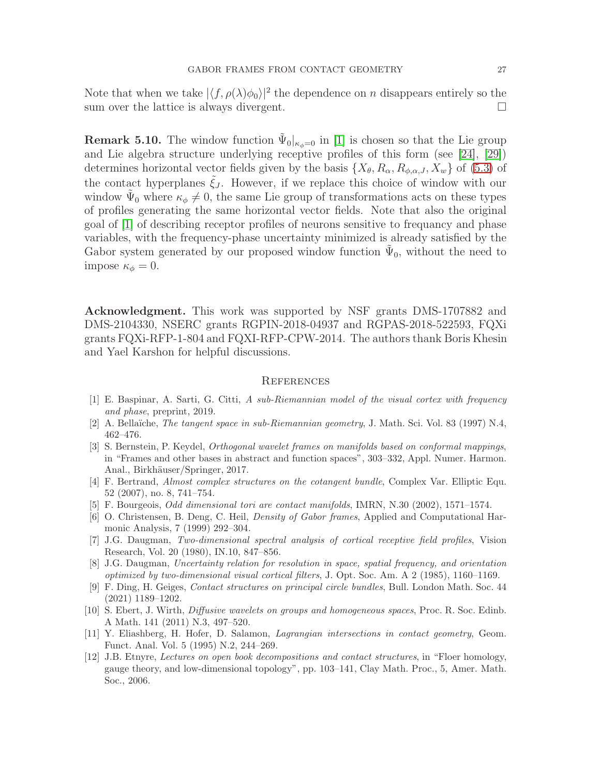Note that when we take  $|\langle f, \rho(\lambda)\phi_0\rangle|^2$  the dependence on n disappears entirely so the sum over the lattice is always divergent.  $\Box$ 

**Remark 5.10.** The window function  $\tilde{\Psi}_0|_{\kappa_{\phi}=0}$  in [\[1\]](#page-26-0) is chosen so that the Lie group and Lie algebra structure underlying receptive profiles of this form (see [\[24\]](#page-27-0), [\[29\]](#page-27-1)) determines horizontal vector fields given by the basis  $\{X_{\theta}, R_{\alpha}, R_{\phi,\alpha,J}, X_w\}$  of [\(5.3\)](#page-21-0) of the contact hyperplanes  $\xi_j$ . However, if we replace this choice of window with our window  $\tilde{\Psi}_0$  where  $\kappa_{\phi} \neq 0$ , the same Lie group of transformations acts on these types of profiles generating the same horizontal vector fields. Note that also the original goal of [\[1\]](#page-26-0) of describing receptor profiles of neurons sensitive to frequancy and phase variables, with the frequency-phase uncertainty minimized is already satisfied by the Gabor system generated by our proposed window function  $\tilde{\Psi}_0$ , without the need to impose  $\kappa_{\phi} = 0$ .

Acknowledgment. This work was supported by NSF grants DMS-1707882 and DMS-2104330, NSERC grants RGPIN-2018-04937 and RGPAS-2018-522593, FQXi grants FQXi-RFP-1-804 and FQXI-RFP-CPW-2014. The authors thank Boris Khesin and Yael Karshon for helpful discussions.

### **REFERENCES**

- <span id="page-26-0"></span>[1] E. Baspinar, A. Sarti, G. Citti, A sub-Riemannian model of the visual cortex with frequency and phase, preprint, 2019.
- <span id="page-26-3"></span>[2] A. Bellaïche, *The tangent space in sub-Riemannian geometry*, J. Math. Sci. Vol. 83 (1997) N.4, 462–476.
- [3] S. Bernstein, P. Keydel, Orthogonal wavelet frames on manifolds based on conformal mappings, in "Frames and other bases in abstract and function spaces", 303–332, Appl. Numer. Harmon. Anal., Birkhäuser/Springer, 2017.
- <span id="page-26-1"></span>[4] F. Bertrand, Almost complex structures on the cotangent bundle, Complex Var. Elliptic Equ. 52 (2007), no. 8, 741–754.
- [5] F. Bourgeois, Odd dimensional tori are contact manifolds, IMRN, N.30 (2002), 1571–1574.
- [6] O. Christensen, B. Deng, C. Heil, Density of Gabor frames, Applied and Computational Harmonic Analysis, 7 (1999) 292–304.
- [7] J.G. Daugman, Two-dimensional spectral analysis of cortical receptive field profiles, Vision Research, Vol. 20 (1980), IN.10, 847–856.
- <span id="page-26-5"></span>[8] J.G. Daugman, Uncertainty relation for resolution in space, spatial frequency, and orientation optimized by two-dimensional visual cortical filters, J. Opt. Soc. Am. A 2 (1985), 1160–1169.
- [9] F. Ding, H. Geiges, Contact structures on principal circle bundles, Bull. London Math. Soc. 44 (2021) 1189–1202.
- <span id="page-26-4"></span>[10] S. Ebert, J. Wirth, Diffusive wavelets on groups and homogeneous spaces, Proc. R. Soc. Edinb. A Math. 141 (2011) N.3, 497–520.
- <span id="page-26-2"></span>[11] Y. Eliashberg, H. Hofer, D. Salamon, Lagrangian intersections in contact geometry, Geom. Funct. Anal. Vol. 5 (1995) N.2, 244–269.
- [12] J.B. Etnyre, Lectures on open book decompositions and contact structures, in "Floer homology, gauge theory, and low-dimensional topology", pp. 103–141, Clay Math. Proc., 5, Amer. Math. Soc., 2006.